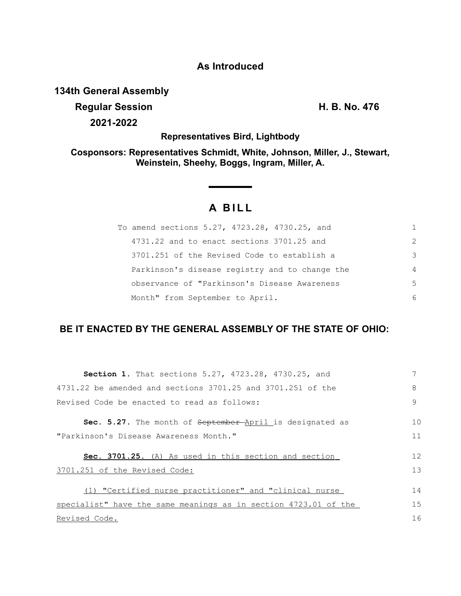### **As Introduced**

# **134th General Assembly**

**Regular Session H. B. No. 476 2021-2022**

**Representatives Bird, Lightbody**

**Cosponsors: Representatives Schmidt, White, Johnson, Miller, J., Stewart, Weinstein, Sheehy, Boggs, Ingram, Miller, A.**

# **A BILL**

<u> The Common Sta</u>

| To amend sections 5.27, 4723.28, 4730.25, and  |   |
|------------------------------------------------|---|
| 4731.22 and to enact sections 3701.25 and      | 2 |
| 3701.251 of the Revised Code to establish a    | 3 |
| Parkinson's disease registry and to change the | 4 |
| observance of "Parkinson's Disease Awareness   | 5 |
| Month" from September to April.                | 6 |

# **BE IT ENACTED BY THE GENERAL ASSEMBLY OF THE STATE OF OHIO:**

| Section 1. That sections 5.27, 4723.28, 4730.25, and            |    |
|-----------------------------------------------------------------|----|
| 4731.22 be amended and sections 3701.25 and 3701.251 of the     | 8  |
| Revised Code be enacted to read as follows:                     | 9  |
| Sec. 5.27. The month of September-April is designated as        | 10 |
| "Parkinson's Disease Awareness Month."                          | 11 |
| Sec. 3701.25. (A) As used in this section and section           | 12 |
| 3701.251 of the Revised Code:                                   | 13 |
| (1) "Certified nurse practitioner" and "clinical nurse          | 14 |
| specialist" have the same meanings as in section 4723.01 of the | 15 |
| Revised Code.                                                   | 16 |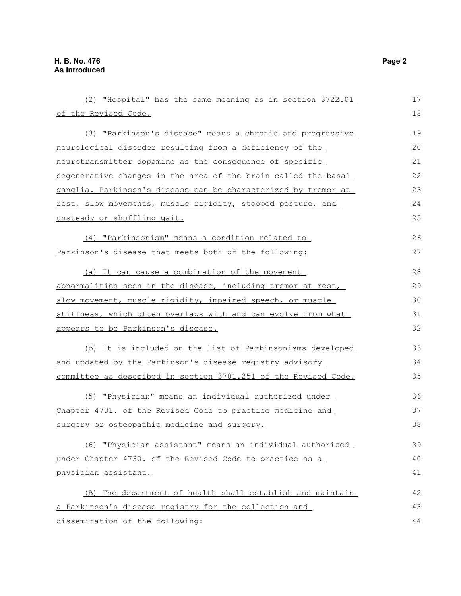| (2) "Hospital" has the same meaning as in section 3722.01       | 17 |
|-----------------------------------------------------------------|----|
| of the Revised Code.                                            | 18 |
| (3) "Parkinson's disease" means a chronic and progressive       | 19 |
| neurological disorder resulting from a deficiency of the        | 20 |
| neurotransmitter dopamine as the consequence of specific        | 21 |
| degenerative changes in the area of the brain called the basal  | 22 |
| ganglia. Parkinson's disease can be characterized by tremor at  | 23 |
| rest, slow movements, muscle rigidity, stooped posture, and     | 24 |
| unsteady or shuffling gait.                                     | 25 |
| (4) "Parkinsonism" means a condition related to                 | 26 |
| Parkinson's disease that meets both of the following:           | 27 |
| (a) It can cause a combination of the movement                  | 28 |
| abnormalities seen in the disease, including tremor at rest,    | 29 |
| slow movement, muscle rigidity, impaired speech, or muscle      | 30 |
| stiffness, which often overlaps with and can evolve from what   | 31 |
| appears to be Parkinson's disease.                              | 32 |
| (b) It is included on the list of Parkinsonisms developed       | 33 |
| and updated by the Parkinson's disease registry advisory        | 34 |
| committee as described in section 3701.251 of the Revised Code. | 35 |
| (5) "Physician" means an individual authorized under            | 36 |
| Chapter 4731. of the Revised Code to practice medicine and      | 37 |
| surgery or osteopathic medicine and surgery.                    | 38 |
| (6) "Physician assistant" means an individual authorized        | 39 |
| under Chapter 4730. of the Revised Code to practice as a        | 40 |
| physician assistant.                                            | 41 |
| (B) The department of health shall establish and maintain       | 42 |
| a Parkinson's disease registry for the collection and           | 43 |
| dissemination of the following:                                 | 44 |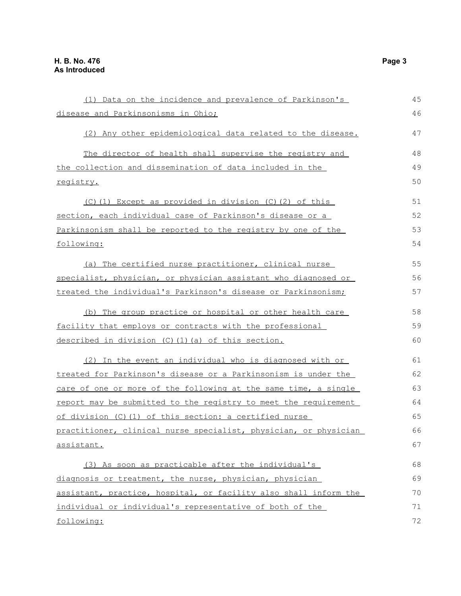| (1) Data on the incidence and prevalence of Parkinson's                | 45 |
|------------------------------------------------------------------------|----|
| disease and Parkinsonisms in Ohio;                                     | 46 |
| (2) Any other epidemiological data related to the disease.             | 47 |
| The director of health shall supervise the registry and                | 48 |
| the collection and dissemination of data included in the               | 49 |
| registry.                                                              | 50 |
| (C)(1) Except as provided in division (C)(2) of this                   | 51 |
| <u>section, each individual case of Parkinson's disease or a </u>      | 52 |
| Parkinsonism shall be reported to the registry by one of the           | 53 |
| following:                                                             | 54 |
| (a) The certified nurse practitioner, clinical nurse                   | 55 |
| specialist, physician, or physician assistant who diagnosed or         | 56 |
| treated the individual's Parkinson's disease or Parkinsonism;          | 57 |
| (b) The group practice or hospital or other health care                | 58 |
| facility that employs or contracts with the professional               | 59 |
| <u>described in division (C)(1)(a) of this section.</u>                | 60 |
| (2) In the event an individual who is diagnosed with or                | 61 |
| <u>treated for Parkinson's disease or a Parkinsonism is under the </u> | 62 |
| care of one or more of the following at the same time, a single        | 63 |
| report may be submitted to the registry to meet the requirement        | 64 |
| of division (C)(1) of this section: a certified nurse                  | 65 |
| practitioner, clinical nurse specialist, physician, or physician       | 66 |
| <u>assistant.</u>                                                      | 67 |
| (3) As soon as practicable after the individual's                      | 68 |
| diagnosis or treatment, the nurse, physician, physician                | 69 |
| assistant, practice, hospital, or facility also shall inform the       | 70 |
| individual or individual's representative of both of the               | 71 |
| following:                                                             | 72 |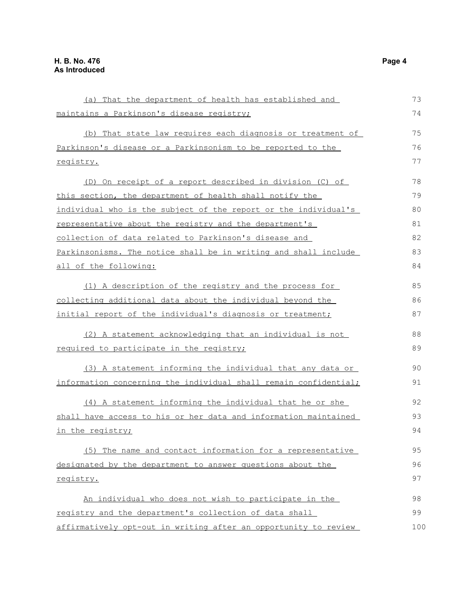(a) That the department of health has established and maintains a Parkinson's disease registry; (b) That state law requires each diagnosis or treatment of Parkinson's disease or a Parkinsonism to be reported to the registry. (D) On receipt of a report described in division (C) of this section, the department of health shall notify the individual who is the subject of the report or the individual's representative about the registry and the department's collection of data related to Parkinson's disease and Parkinsonisms. The notice shall be in writing and shall include all of the following: (1) A description of the registry and the process for collecting additional data about the individual beyond the initial report of the individual's diagnosis or treatment; (2) A statement acknowledging that an individual is not required to participate in the registry; (3) A statement informing the individual that any data or information concerning the individual shall remain confidential; (4) A statement informing the individual that he or she shall have access to his or her data and information maintained in the registry; (5) The name and contact information for a representative designated by the department to answer questions about the registry. An individual who does not wish to participate in the registry and the department's collection of data shall affirmatively opt-out in writing after an opportunity to review 73 74 75 76 77 78 79 80 81 82 83 84 85 86 87 88 89 90 91 92 93 94 95 96 97 98 99 100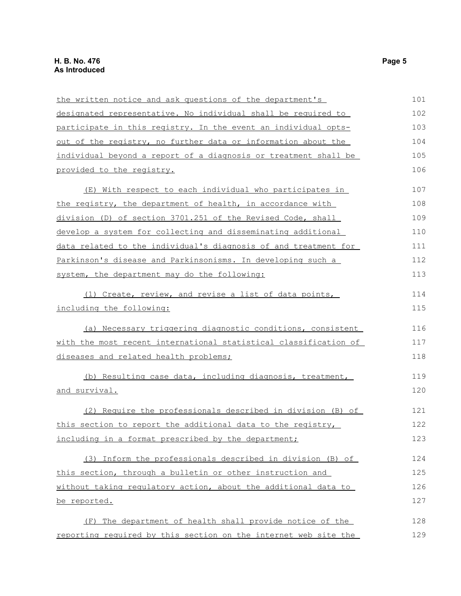| the written notice and ask questions of the department's         | 101 |
|------------------------------------------------------------------|-----|
| designated representative. No individual shall be required to    | 102 |
| participate in this registry. In the event an individual opts-   | 103 |
| out of the registry, no further data or information about the    | 104 |
| individual beyond a report of a diagnosis or treatment shall be  | 105 |
| provided to the registry.                                        | 106 |
| (E) With respect to each individual who participates in          | 107 |
| the registry, the department of health, in accordance with       | 108 |
| division (D) of section 3701.251 of the Revised Code, shall      | 109 |
| develop a system for collecting and disseminating additional     | 110 |
| data related to the individual's diagnosis of and treatment for  | 111 |
| Parkinson's disease and Parkinsonisms. In developing such a      | 112 |
| system, the department may do the following:                     | 113 |
| (1) Create, review, and revise a list of data points,            | 114 |
| including the following:                                         | 115 |
| (a) Necessary triggering diagnostic conditions, consistent       | 116 |
| with the most recent international statistical classification of | 117 |
| diseases and related health problems;                            | 118 |
| (b) Resulting case data, including diagnosis, treatment,         | 119 |
| <u>and survival.</u>                                             | 120 |
| (2) Require the professionals described in division (B) of       | 121 |
| this section to report the additional data to the registry,      | 122 |
| including in a format prescribed by the department;              | 123 |
| (3) Inform the professionals described in division (B) of        | 124 |
| this section, through a bulletin or other instruction and        | 125 |
| without taking regulatory action, about the additional data to   | 126 |
| be reported.                                                     | 127 |
| The department of health shall provide notice of the<br>(F)      | 128 |
| reporting required by this section on the internet web site the  | 129 |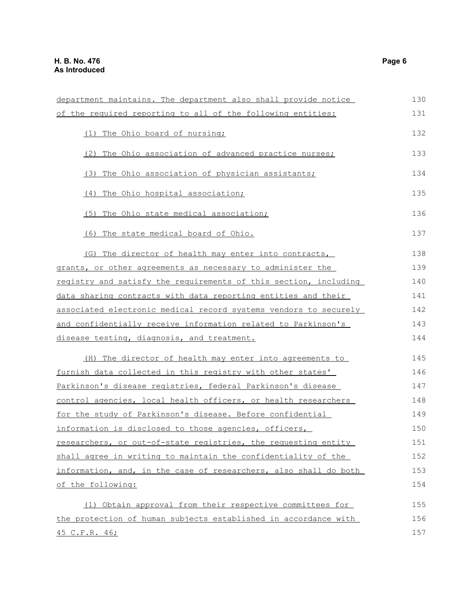| department maintains. The department also shall provide notice   | 130 |
|------------------------------------------------------------------|-----|
| of the required reporting to all of the following entities:      | 131 |
| (1) The Ohio board of nursing;                                   | 132 |
| (2) The Ohio association of advanced practice nurses;            | 133 |
| (3) The Ohio association of physician assistants;                | 134 |
| The Ohio hospital association;<br>(4)                            | 135 |
| The Ohio state medical association;<br>(5)                       | 136 |
| (6) The state medical board of Ohio.                             | 137 |
| (G) The director of health may enter into contracts,             | 138 |
| grants, or other agreements as necessary to administer the       | 139 |
| registry and satisfy the requirements of this section, including | 140 |
| data sharing contracts with data reporting entities and their    | 141 |
| associated electronic medical record systems vendors to securely | 142 |
| and confidentially receive information related to Parkinson's    | 143 |
| disease testing, diagnosis, and treatment.                       | 144 |
| (H) The director of health may enter into agreements to          | 145 |
| furnish data collected in this registry with other states'       | 146 |
| Parkinson's disease registries, federal Parkinson's disease      | 147 |
| control agencies, local health officers, or health researchers   | 148 |
| for the study of Parkinson's disease. Before confidential        | 149 |
| information is disclosed to those agencies, officers,            | 150 |
| researchers, or out-of-state registries, the requesting entity   | 151 |
| shall agree in writing to maintain the confidentiality of the    | 152 |
| information, and, in the case of researchers, also shall do both | 153 |
| of the following:                                                | 154 |
| (1) Obtain approval from their respective committees for         | 155 |
| the protection of human subjects established in accordance with  | 156 |
| 45 C.F.R. 46;                                                    | 157 |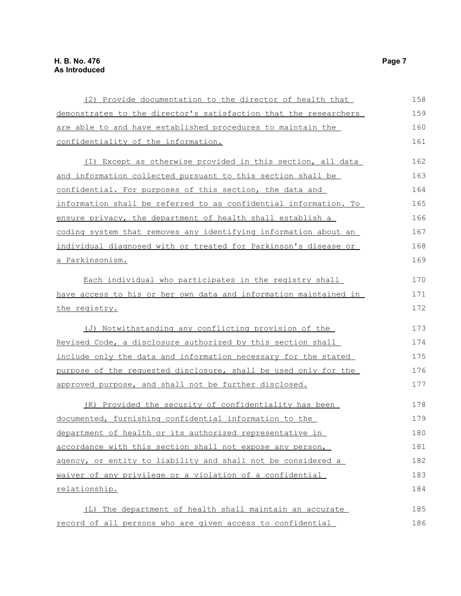| (2) Provide documentation to the director of health that           | 158 |
|--------------------------------------------------------------------|-----|
| demonstrates to the director's satisfaction that the researchers   | 159 |
| are able to and have established procedures to maintain the        | 160 |
| confidentiality of the information.                                | 161 |
| (I) Except as otherwise provided in this section, all data         | 162 |
| <u>and information collected pursuant to this section shall be</u> | 163 |
| confidential. For purposes of this section, the data and           | 164 |
| information shall be referred to as confidential information. To   | 165 |
| ensure privacy, the department of health shall establish a         | 166 |
| coding system that removes any identifying information about an    | 167 |
| individual diagnosed with or treated for Parkinson's disease or    | 168 |
| a Parkinsonism.                                                    | 169 |
| Each individual who participates in the registry shall             | 170 |
| have access to his or her own data and information maintained in   | 171 |
| the registry.                                                      | 172 |
| (J) Notwithstanding any conflicting provision of the               | 173 |
| Revised Code, a disclosure authorized by this section shall        | 174 |
| include only the data and information necessary for the stated     | 175 |
| purpose of the requested disclosure, shall be used only for the    | 176 |
| approved purpose, and shall not be further disclosed.              | 177 |
| (K) Provided the security of confidentiality has been              | 178 |
| documented, furnishing confidential information to the             | 179 |
| department of health or its authorized representative in           | 180 |
| accordance with this section shall not expose any person,          | 181 |
| agency, or entity to liability and shall not be considered a       | 182 |
| waiver of any privilege or a violation of a confidential           | 183 |
| relationship.                                                      | 184 |
| (L) The department of health shall maintain an accurate            | 185 |
| record of all persons who are given access to confidential         | 186 |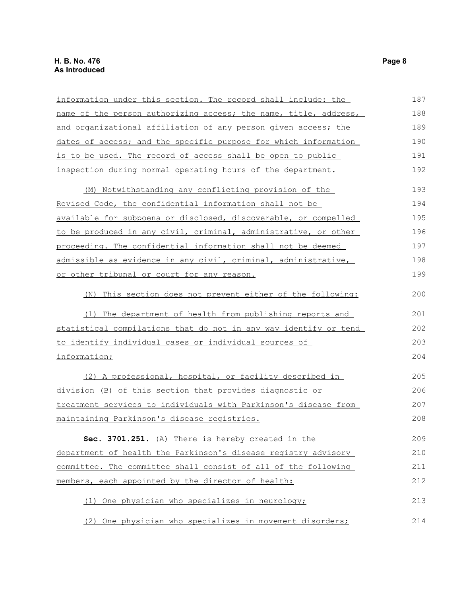| information under this section. The record shall include: the    | 187 |
|------------------------------------------------------------------|-----|
| name of the person authorizing access; the name, title, address, | 188 |
| and organizational affiliation of any person given access; the   | 189 |
| dates of access; and the specific purpose for which information  | 190 |
| is to be used. The record of access shall be open to public      | 191 |
| inspection during normal operating hours of the department.      | 192 |
| (M) Notwithstanding any conflicting provision of the             | 193 |
| Revised Code, the confidential information shall not be          | 194 |
| available for subpoena or disclosed, discoverable, or compelled  | 195 |
| to be produced in any civil, criminal, administrative, or other  | 196 |
| proceeding. The confidential information shall not be deemed     | 197 |
| admissible as evidence in any civil, criminal, administrative,   | 198 |
| or other tribunal or court for any reason.                       | 199 |
| (N) This section does not prevent either of the following:       | 200 |
| (1) The department of health from publishing reports and         | 201 |
| statistical compilations that do not in any way identify or tend | 202 |
| to identify individual cases or individual sources of            | 203 |
| information;                                                     | 204 |
| (2) A professional, hospital, or facility described in           | 205 |
| division (B) of this section that provides diagnostic or         | 206 |
| treatment services to individuals with Parkinson's disease from  | 207 |
| maintaining Parkinson's disease registries.                      | 208 |
| Sec. 3701.251. (A) There is hereby created in the                | 209 |
| department of health the Parkinson's disease registry advisory   | 210 |
| committee. The committee shall consist of all of the following   | 211 |
| members, each appointed by the director of health:               | 212 |
| (1) One physician who specializes in neurology;                  | 213 |
| (2) One physician who specializes in movement disorders;         | 214 |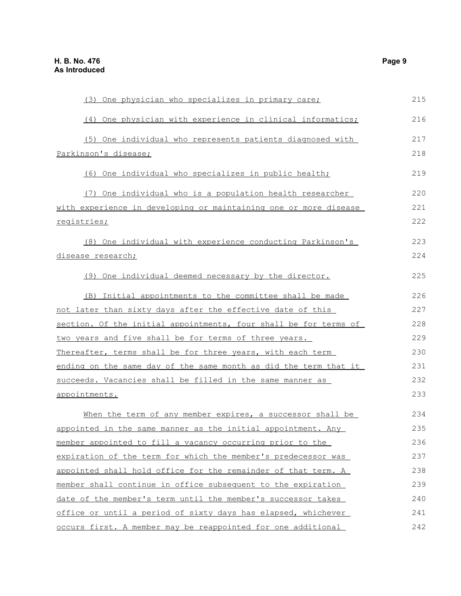| (3) One physician who specializes in primary care;               | 215 |
|------------------------------------------------------------------|-----|
| (4) One physician with experience in clinical informatics;       | 216 |
| (5) One individual who represents patients diagnosed with        | 217 |
| Parkinson's disease;                                             | 218 |
| (6) One individual who specializes in public health;             | 219 |
| (7) One individual who is a population health researcher         | 220 |
| with experience in developing or maintaining one or more disease | 221 |
| registries;                                                      | 222 |
| (8) One individual with experience conducting Parkinson's        | 223 |
| disease research;                                                | 224 |
| (9) One individual deemed necessary by the director.             | 225 |
| (B) Initial appointments to the committee shall be made          | 226 |
| not later than sixty days after the effective date of this       | 227 |
| section. Of the initial appointments, four shall be for terms of | 228 |
| two years and five shall be for terms of three years.            | 229 |
| Thereafter, terms shall be for three years, with each term       | 230 |
| ending on the same day of the same month as did the term that it | 231 |
| succeeds. Vacancies shall be filled in the same manner as        | 232 |
| appointments.                                                    | 233 |
| When the term of any member expires, a successor shall be        | 234 |
| appointed in the same manner as the initial appointment. Any     | 235 |
| member appointed to fill a vacancy occurring prior to the        | 236 |
| expiration of the term for which the member's predecessor was    | 237 |
| appointed shall hold office for the remainder of that term. A    | 238 |
| member shall continue in office subsequent to the expiration     | 239 |
| date of the member's term until the member's successor takes     | 240 |
| office or until a period of sixty days has elapsed, whichever    | 241 |
| occurs first. A member may be reappointed for one additional     | 242 |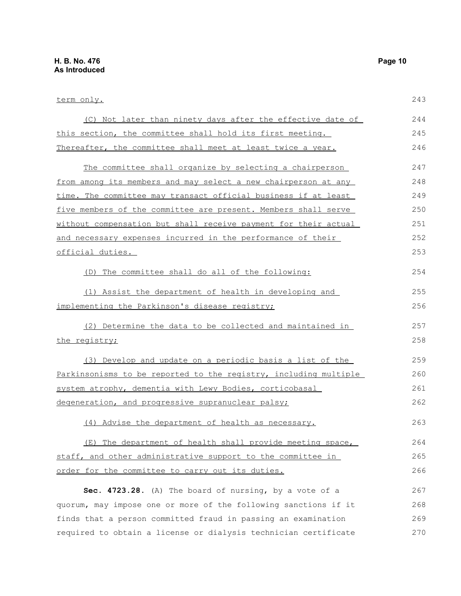term only. (C) Not later than ninety days after the effective date of this section, the committee shall hold its first meeting. Thereafter, the committee shall meet at least twice a year. The committee shall organize by selecting a chairperson from among its members and may select a new chairperson at any time. The committee may transact official business if at least five members of the committee are present. Members shall serve without compensation but shall receive payment for their actual and necessary expenses incurred in the performance of their official duties. (D) The committee shall do all of the following: (1) Assist the department of health in developing and implementing the Parkinson's disease registry; (2) Determine the data to be collected and maintained in the registry; (3) Develop and update on a periodic basis a list of the Parkinsonisms to be reported to the registry, including multiple system atrophy, dementia with Lewy Bodies, corticobasal degeneration, and progressive supranuclear palsy; (4) Advise the department of health as necessary. (E) The department of health shall provide meeting space, staff, and other administrative support to the committee in order for the committee to carry out its duties. **Sec. 4723.28.** (A) The board of nursing, by a vote of a quorum, may impose one or more of the following sanctions if it 243 244 245 246 247 248 249 250 251 252 253 254 255 256 257 258 259 260 261 262 263 264 265 266 267 268

finds that a person committed fraud in passing an examination required to obtain a license or dialysis technician certificate 269 270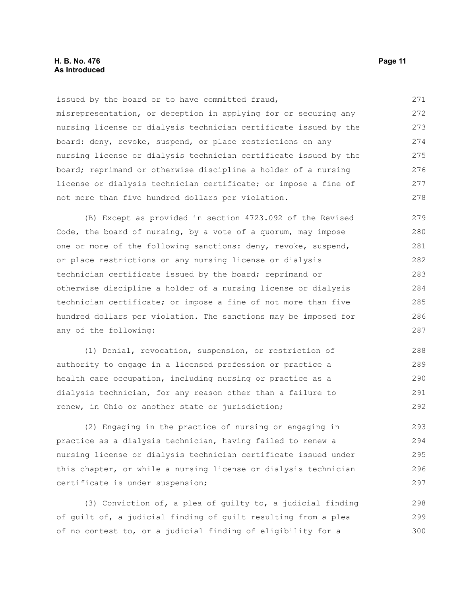#### **H. B. No. 476 Page 11 As Introduced**

issued by the board or to have committed fraud, misrepresentation, or deception in applying for or securing any nursing license or dialysis technician certificate issued by the board: deny, revoke, suspend, or place restrictions on any nursing license or dialysis technician certificate issued by the board; reprimand or otherwise discipline a holder of a nursing license or dialysis technician certificate; or impose a fine of not more than five hundred dollars per violation. 271 272 273 274 275 276 277 278

(B) Except as provided in section 4723.092 of the Revised Code, the board of nursing, by a vote of a quorum, may impose one or more of the following sanctions: deny, revoke, suspend, or place restrictions on any nursing license or dialysis technician certificate issued by the board; reprimand or otherwise discipline a holder of a nursing license or dialysis technician certificate; or impose a fine of not more than five hundred dollars per violation. The sanctions may be imposed for any of the following: 279 280 281 282 283 284 285 286 287

(1) Denial, revocation, suspension, or restriction of authority to engage in a licensed profession or practice a health care occupation, including nursing or practice as a dialysis technician, for any reason other than a failure to renew, in Ohio or another state or jurisdiction; 288 289 290 291 292

(2) Engaging in the practice of nursing or engaging in practice as a dialysis technician, having failed to renew a nursing license or dialysis technician certificate issued under this chapter, or while a nursing license or dialysis technician certificate is under suspension; 293 294 295 296 297

(3) Conviction of, a plea of guilty to, a judicial finding of guilt of, a judicial finding of guilt resulting from a plea of no contest to, or a judicial finding of eligibility for a 298 299 300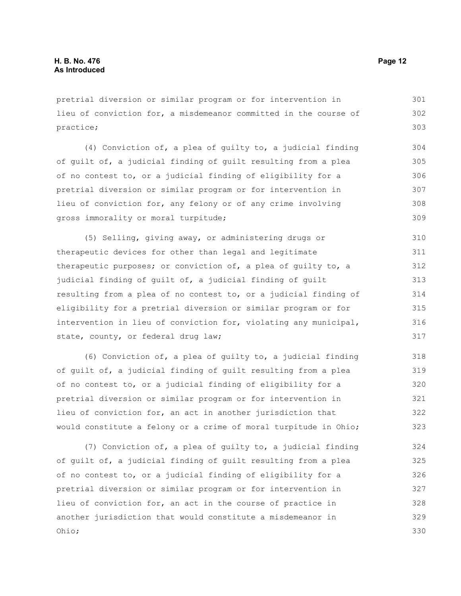pretrial diversion or similar program or for intervention in lieu of conviction for, a misdemeanor committed in the course of practice; 301 302 303

(4) Conviction of, a plea of guilty to, a judicial finding of guilt of, a judicial finding of guilt resulting from a plea of no contest to, or a judicial finding of eligibility for a pretrial diversion or similar program or for intervention in lieu of conviction for, any felony or of any crime involving gross immorality or moral turpitude; 304 305 306 307 308 309

(5) Selling, giving away, or administering drugs or therapeutic devices for other than legal and legitimate therapeutic purposes; or conviction of, a plea of guilty to, a judicial finding of guilt of, a judicial finding of guilt resulting from a plea of no contest to, or a judicial finding of eligibility for a pretrial diversion or similar program or for intervention in lieu of conviction for, violating any municipal, state, county, or federal drug law; 310 311 312 313 314 315 316 317

(6) Conviction of, a plea of guilty to, a judicial finding of guilt of, a judicial finding of guilt resulting from a plea of no contest to, or a judicial finding of eligibility for a pretrial diversion or similar program or for intervention in lieu of conviction for, an act in another jurisdiction that would constitute a felony or a crime of moral turpitude in Ohio; 318 319 320 321 322 323

(7) Conviction of, a plea of guilty to, a judicial finding of guilt of, a judicial finding of guilt resulting from a plea of no contest to, or a judicial finding of eligibility for a pretrial diversion or similar program or for intervention in lieu of conviction for, an act in the course of practice in another jurisdiction that would constitute a misdemeanor in Ohio; 324 325 326 327 328 329 330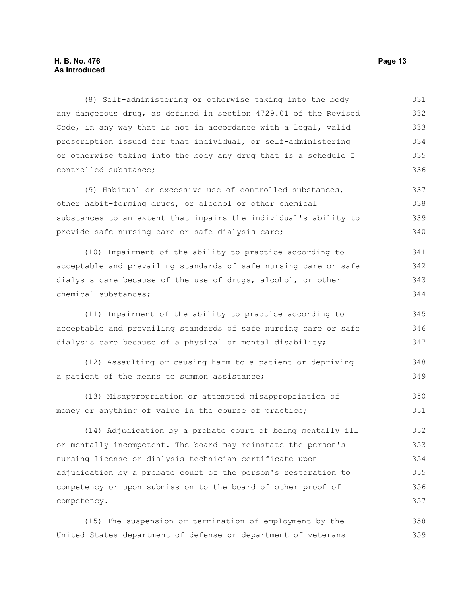#### **H. B. No. 476 Page 13 As Introduced**

(8) Self-administering or otherwise taking into the body any dangerous drug, as defined in section 4729.01 of the Revised Code, in any way that is not in accordance with a legal, valid prescription issued for that individual, or self-administering or otherwise taking into the body any drug that is a schedule I controlled substance; 331 332 333 334 335 336

(9) Habitual or excessive use of controlled substances, other habit-forming drugs, or alcohol or other chemical substances to an extent that impairs the individual's ability to provide safe nursing care or safe dialysis care; 337 338 339 340

(10) Impairment of the ability to practice according to acceptable and prevailing standards of safe nursing care or safe dialysis care because of the use of drugs, alcohol, or other chemical substances; 341 342 343 344

(11) Impairment of the ability to practice according to acceptable and prevailing standards of safe nursing care or safe dialysis care because of a physical or mental disability; 345 346 347

(12) Assaulting or causing harm to a patient or depriving a patient of the means to summon assistance; 348 349

(13) Misappropriation or attempted misappropriation of money or anything of value in the course of practice; 350 351

(14) Adjudication by a probate court of being mentally ill or mentally incompetent. The board may reinstate the person's nursing license or dialysis technician certificate upon adjudication by a probate court of the person's restoration to competency or upon submission to the board of other proof of competency. 352 353 354 355 356 357

(15) The suspension or termination of employment by the United States department of defense or department of veterans 358 359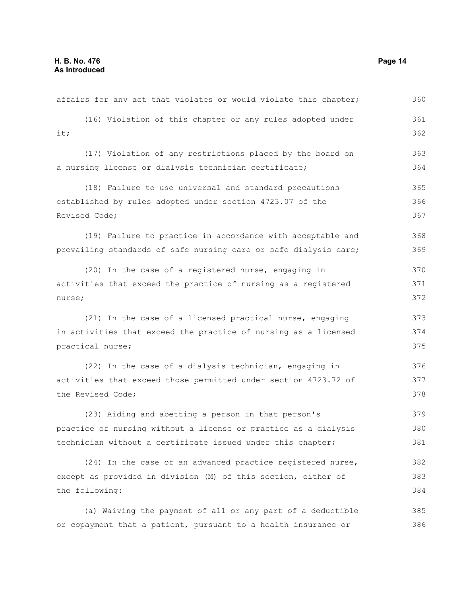| affairs for any act that violates or would violate this chapter; | 360 |
|------------------------------------------------------------------|-----|
| (16) Violation of this chapter or any rules adopted under        | 361 |
| it;                                                              | 362 |
| (17) Violation of any restrictions placed by the board on        | 363 |
| a nursing license or dialysis technician certificate;            | 364 |
| (18) Failure to use universal and standard precautions           | 365 |
| established by rules adopted under section 4723.07 of the        | 366 |
| Revised Code;                                                    | 367 |
| (19) Failure to practice in accordance with acceptable and       | 368 |
| prevailing standards of safe nursing care or safe dialysis care; | 369 |
| (20) In the case of a registered nurse, engaging in              | 370 |
| activities that exceed the practice of nursing as a registered   | 371 |
| nurse;                                                           | 372 |
| (21) In the case of a licensed practical nurse, engaging         | 373 |
| in activities that exceed the practice of nursing as a licensed  | 374 |
| practical nurse;                                                 | 375 |
| (22) In the case of a dialysis technician, engaging in           | 376 |
| activities that exceed those permitted under section 4723.72 of  | 377 |
| the Revised Code;                                                | 378 |
| (23) Aiding and abetting a person in that person's               | 379 |
| practice of nursing without a license or practice as a dialysis  | 380 |
| technician without a certificate issued under this chapter;      | 381 |
| (24) In the case of an advanced practice registered nurse,       | 382 |
| except as provided in division (M) of this section, either of    | 383 |
| the following:                                                   | 384 |
| (a) Waiving the payment of all or any part of a deductible       | 385 |
| or copayment that a patient, pursuant to a health insurance or   | 386 |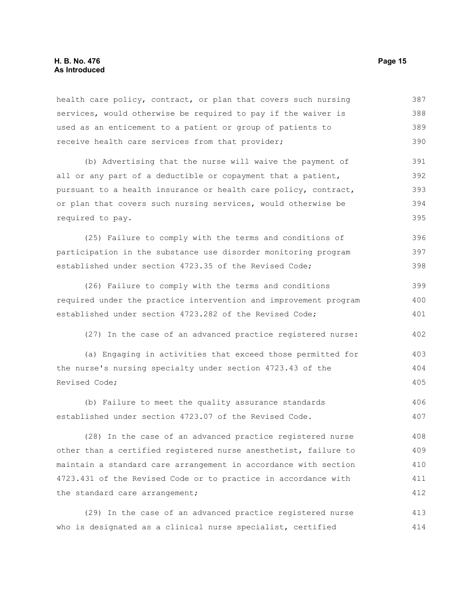#### **H. B. No. 476 Page 15 As Introduced**

health care policy, contract, or plan that covers such nursing services, would otherwise be required to pay if the waiver is used as an enticement to a patient or group of patients to receive health care services from that provider; 387 388 389 390

(b) Advertising that the nurse will waive the payment of all or any part of a deductible or copayment that a patient, pursuant to a health insurance or health care policy, contract, or plan that covers such nursing services, would otherwise be required to pay. 391 392 393 394 395

(25) Failure to comply with the terms and conditions of participation in the substance use disorder monitoring program established under section 4723.35 of the Revised Code; 396 397 398

(26) Failure to comply with the terms and conditions required under the practice intervention and improvement program established under section 4723.282 of the Revised Code; 399 400 401

(27) In the case of an advanced practice registered nurse: 402

(a) Engaging in activities that exceed those permitted for the nurse's nursing specialty under section 4723.43 of the Revised Code; 403 404 405

(b) Failure to meet the quality assurance standards established under section 4723.07 of the Revised Code. 406 407

(28) In the case of an advanced practice registered nurse other than a certified registered nurse anesthetist, failure to maintain a standard care arrangement in accordance with section 4723.431 of the Revised Code or to practice in accordance with the standard care arrangement; 408 409 410 411 412

(29) In the case of an advanced practice registered nurse who is designated as a clinical nurse specialist, certified 413 414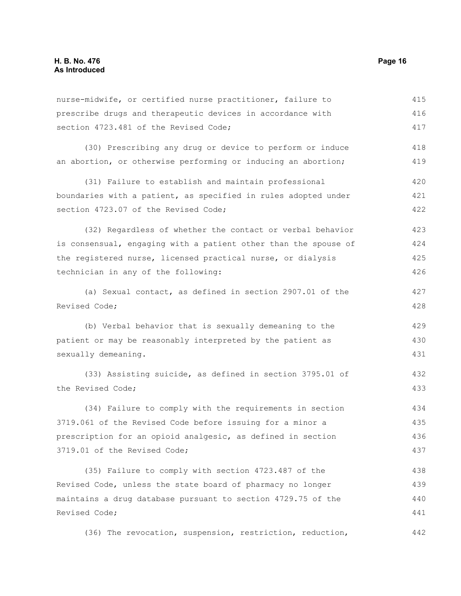| nurse-midwife, or certified nurse practitioner, failure to      | 415 |
|-----------------------------------------------------------------|-----|
| prescribe drugs and therapeutic devices in accordance with      | 416 |
| section 4723.481 of the Revised Code;                           | 417 |
| (30) Prescribing any drug or device to perform or induce        | 418 |
| an abortion, or otherwise performing or inducing an abortion;   | 419 |
| (31) Failure to establish and maintain professional             | 420 |
| boundaries with a patient, as specified in rules adopted under  | 421 |
| section 4723.07 of the Revised Code;                            | 422 |
| (32) Regardless of whether the contact or verbal behavior       | 423 |
| is consensual, engaging with a patient other than the spouse of | 424 |
| the registered nurse, licensed practical nurse, or dialysis     | 425 |
| technician in any of the following:                             | 426 |
| (a) Sexual contact, as defined in section 2907.01 of the        | 427 |
| Revised Code;                                                   | 428 |
| (b) Verbal behavior that is sexually demeaning to the           | 429 |
| patient or may be reasonably interpreted by the patient as      | 430 |
| sexually demeaning.                                             | 431 |
| (33) Assisting suicide, as defined in section 3795.01 of        | 432 |
| the Revised Code;                                               | 433 |
| (34) Failure to comply with the requirements in section         | 434 |
| 3719.061 of the Revised Code before issuing for a minor a       | 435 |
| prescription for an opioid analgesic, as defined in section     | 436 |
| 3719.01 of the Revised Code;                                    | 437 |
| (35) Failure to comply with section 4723.487 of the             | 438 |
| Revised Code, unless the state board of pharmacy no longer      | 439 |
| maintains a drug database pursuant to section 4729.75 of the    | 440 |
| Revised Code;                                                   | 441 |
| (36) The revocation, suspension, restriction, reduction,        | 442 |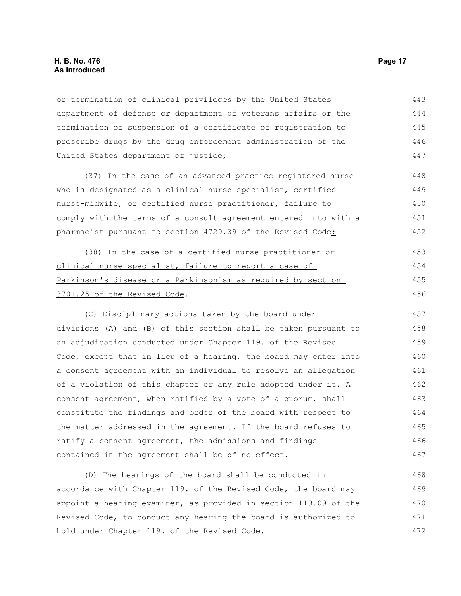#### **H. B. No. 476 Page 17 As Introduced**

or termination of clinical privileges by the United States department of defense or department of veterans affairs or the termination or suspension of a certificate of registration to prescribe drugs by the drug enforcement administration of the United States department of justice; 443 444 445 446 447

(37) In the case of an advanced practice registered nurse who is designated as a clinical nurse specialist, certified nurse-midwife, or certified nurse practitioner, failure to comply with the terms of a consult agreement entered into with a pharmacist pursuant to section 4729.39 of the Revised Code; 448 449 450 451 452

(38) In the case of a certified nurse practitioner or clinical nurse specialist, failure to report a case of Parkinson's disease or a Parkinsonism as required by section 3701.25 of the Revised Code. 453 454 455 456

(C) Disciplinary actions taken by the board under divisions (A) and (B) of this section shall be taken pursuant to an adjudication conducted under Chapter 119. of the Revised Code, except that in lieu of a hearing, the board may enter into a consent agreement with an individual to resolve an allegation of a violation of this chapter or any rule adopted under it. A consent agreement, when ratified by a vote of a quorum, shall constitute the findings and order of the board with respect to the matter addressed in the agreement. If the board refuses to ratify a consent agreement, the admissions and findings contained in the agreement shall be of no effect. 457 458 459 460 461 462 463 464 465 466 467

(D) The hearings of the board shall be conducted in accordance with Chapter 119. of the Revised Code, the board may appoint a hearing examiner, as provided in section 119.09 of the Revised Code, to conduct any hearing the board is authorized to hold under Chapter 119. of the Revised Code. 468 469 470 471 472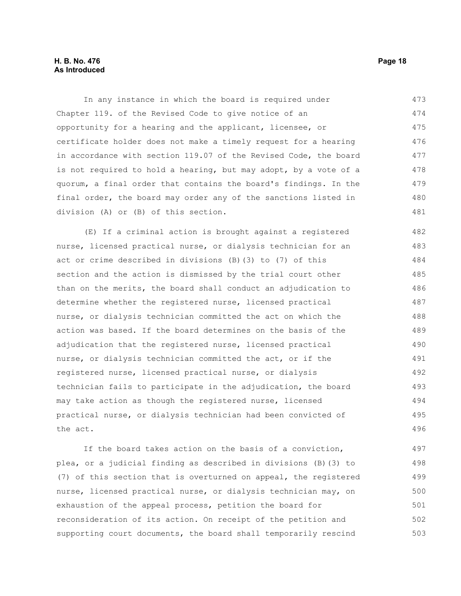#### **H. B. No. 476 Page 18 As Introduced**

In any instance in which the board is required under Chapter 119. of the Revised Code to give notice of an opportunity for a hearing and the applicant, licensee, or certificate holder does not make a timely request for a hearing in accordance with section 119.07 of the Revised Code, the board is not required to hold a hearing, but may adopt, by a vote of a quorum, a final order that contains the board's findings. In the final order, the board may order any of the sanctions listed in division (A) or (B) of this section. 473 474 475 476 477 478 479 480 481

(E) If a criminal action is brought against a registered nurse, licensed practical nurse, or dialysis technician for an act or crime described in divisions (B)(3) to (7) of this section and the action is dismissed by the trial court other than on the merits, the board shall conduct an adjudication to determine whether the registered nurse, licensed practical nurse, or dialysis technician committed the act on which the action was based. If the board determines on the basis of the adjudication that the registered nurse, licensed practical nurse, or dialysis technician committed the act, or if the registered nurse, licensed practical nurse, or dialysis technician fails to participate in the adjudication, the board may take action as though the registered nurse, licensed practical nurse, or dialysis technician had been convicted of the act. 482 483 484 485 486 487 488 489 490 491 492 493 494 495 496

If the board takes action on the basis of a conviction, plea, or a judicial finding as described in divisions (B)(3) to (7) of this section that is overturned on appeal, the registered nurse, licensed practical nurse, or dialysis technician may, on exhaustion of the appeal process, petition the board for reconsideration of its action. On receipt of the petition and supporting court documents, the board shall temporarily rescind 497 498 499 500 501 502 503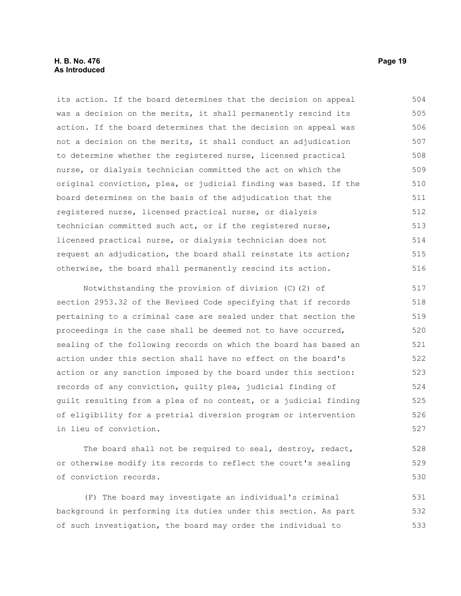#### **H. B. No. 476 Page 19 As Introduced**

its action. If the board determines that the decision on appeal was a decision on the merits, it shall permanently rescind its action. If the board determines that the decision on appeal was not a decision on the merits, it shall conduct an adjudication to determine whether the registered nurse, licensed practical nurse, or dialysis technician committed the act on which the original conviction, plea, or judicial finding was based. If the board determines on the basis of the adjudication that the registered nurse, licensed practical nurse, or dialysis technician committed such act, or if the registered nurse, licensed practical nurse, or dialysis technician does not request an adjudication, the board shall reinstate its action; otherwise, the board shall permanently rescind its action. 504 505 506 507 508 509 510 511 512 513 514 515 516

Notwithstanding the provision of division (C)(2) of section 2953.32 of the Revised Code specifying that if records pertaining to a criminal case are sealed under that section the proceedings in the case shall be deemed not to have occurred, sealing of the following records on which the board has based an action under this section shall have no effect on the board's action or any sanction imposed by the board under this section: records of any conviction, guilty plea, judicial finding of guilt resulting from a plea of no contest, or a judicial finding of eligibility for a pretrial diversion program or intervention in lieu of conviction. 517 518 519 520 521 522 523 524 525 526 527

The board shall not be required to seal, destroy, redact, or otherwise modify its records to reflect the court's sealing of conviction records. 528 529 530

(F) The board may investigate an individual's criminal background in performing its duties under this section. As part of such investigation, the board may order the individual to 531 532 533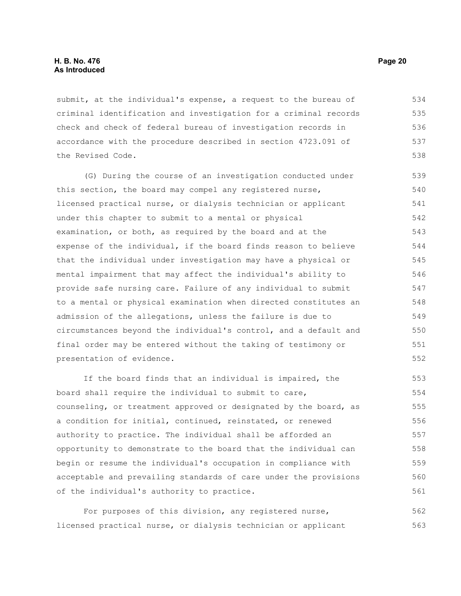submit, at the individual's expense, a request to the bureau of criminal identification and investigation for a criminal records check and check of federal bureau of investigation records in accordance with the procedure described in section 4723.091 of the Revised Code. 534 535 536 537 538

(G) During the course of an investigation conducted under this section, the board may compel any registered nurse, licensed practical nurse, or dialysis technician or applicant under this chapter to submit to a mental or physical examination, or both, as required by the board and at the expense of the individual, if the board finds reason to believe that the individual under investigation may have a physical or mental impairment that may affect the individual's ability to provide safe nursing care. Failure of any individual to submit to a mental or physical examination when directed constitutes an admission of the allegations, unless the failure is due to circumstances beyond the individual's control, and a default and final order may be entered without the taking of testimony or presentation of evidence. 539 540 541 542 543 544 545 546 547 548 549 550 551 552

If the board finds that an individual is impaired, the board shall require the individual to submit to care, counseling, or treatment approved or designated by the board, as a condition for initial, continued, reinstated, or renewed authority to practice. The individual shall be afforded an opportunity to demonstrate to the board that the individual can begin or resume the individual's occupation in compliance with acceptable and prevailing standards of care under the provisions of the individual's authority to practice. 553 554 555 556 557 558 559 560 561

For purposes of this division, any registered nurse, licensed practical nurse, or dialysis technician or applicant 562 563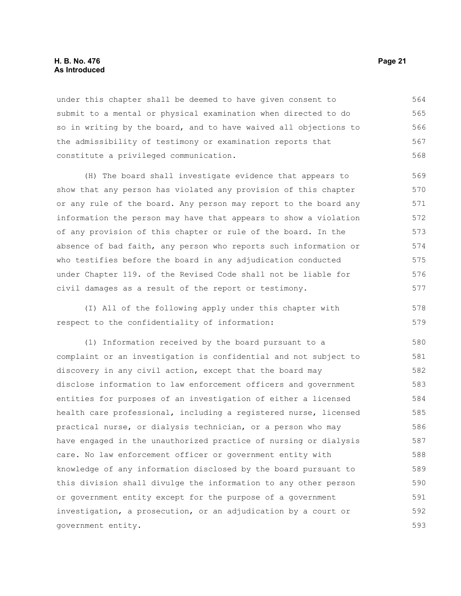#### **H. B. No. 476 Page 21 As Introduced**

under this chapter shall be deemed to have given consent to submit to a mental or physical examination when directed to do so in writing by the board, and to have waived all objections to the admissibility of testimony or examination reports that constitute a privileged communication. 564 565 566 567 568

(H) The board shall investigate evidence that appears to show that any person has violated any provision of this chapter or any rule of the board. Any person may report to the board any information the person may have that appears to show a violation of any provision of this chapter or rule of the board. In the absence of bad faith, any person who reports such information or who testifies before the board in any adjudication conducted under Chapter 119. of the Revised Code shall not be liable for civil damages as a result of the report or testimony. 569 570 571 572 573 574 575 576 577

(I) All of the following apply under this chapter with respect to the confidentiality of information: 578 579

(1) Information received by the board pursuant to a complaint or an investigation is confidential and not subject to discovery in any civil action, except that the board may disclose information to law enforcement officers and government entities for purposes of an investigation of either a licensed health care professional, including a registered nurse, licensed practical nurse, or dialysis technician, or a person who may have engaged in the unauthorized practice of nursing or dialysis care. No law enforcement officer or government entity with knowledge of any information disclosed by the board pursuant to this division shall divulge the information to any other person or government entity except for the purpose of a government investigation, a prosecution, or an adjudication by a court or government entity. 580 581 582 583 584 585 586 587 588 589 590 591 592 593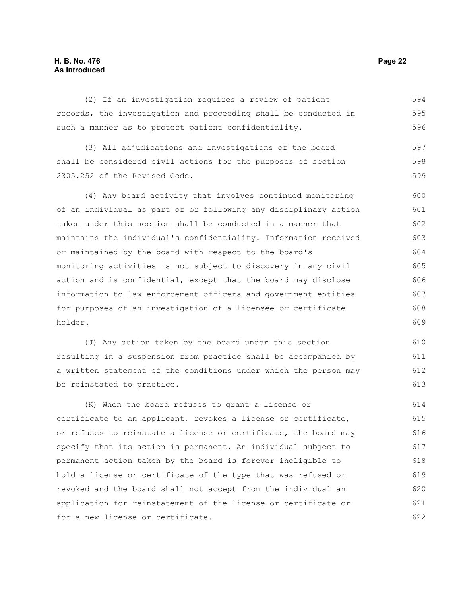#### **H. B. No. 476 Page 22 As Introduced**

(2) If an investigation requires a review of patient records, the investigation and proceeding shall be conducted in such a manner as to protect patient confidentiality. 594 595 596

(3) All adjudications and investigations of the board shall be considered civil actions for the purposes of section 2305.252 of the Revised Code. 597 598 599

(4) Any board activity that involves continued monitoring of an individual as part of or following any disciplinary action taken under this section shall be conducted in a manner that maintains the individual's confidentiality. Information received or maintained by the board with respect to the board's monitoring activities is not subject to discovery in any civil action and is confidential, except that the board may disclose information to law enforcement officers and government entities for purposes of an investigation of a licensee or certificate holder. 600 601 602 603 604 605 606 607 608 609

(J) Any action taken by the board under this section resulting in a suspension from practice shall be accompanied by a written statement of the conditions under which the person may be reinstated to practice. 610 611 612 613

(K) When the board refuses to grant a license or certificate to an applicant, revokes a license or certificate, or refuses to reinstate a license or certificate, the board may specify that its action is permanent. An individual subject to permanent action taken by the board is forever ineligible to hold a license or certificate of the type that was refused or revoked and the board shall not accept from the individual an application for reinstatement of the license or certificate or for a new license or certificate. 614 615 616 617 618 619 620 621 622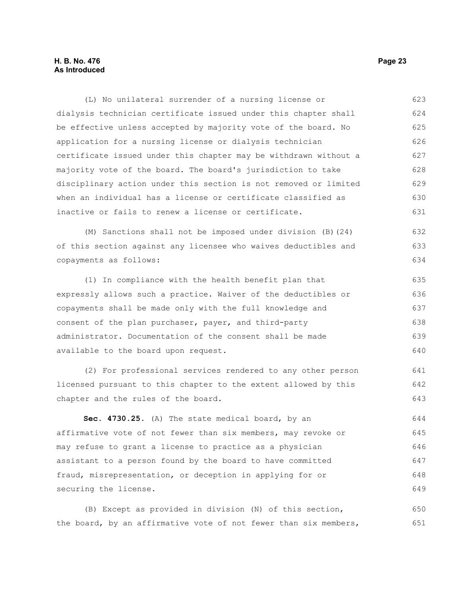#### **H. B. No. 476 Page 23 As Introduced**

(L) No unilateral surrender of a nursing license or dialysis technician certificate issued under this chapter shall be effective unless accepted by majority vote of the board. No application for a nursing license or dialysis technician certificate issued under this chapter may be withdrawn without a majority vote of the board. The board's jurisdiction to take disciplinary action under this section is not removed or limited when an individual has a license or certificate classified as inactive or fails to renew a license or certificate. 623 624 625 626 627 628 629 630 631

(M) Sanctions shall not be imposed under division (B)(24) of this section against any licensee who waives deductibles and copayments as follows:

(1) In compliance with the health benefit plan that expressly allows such a practice. Waiver of the deductibles or copayments shall be made only with the full knowledge and consent of the plan purchaser, payer, and third-party administrator. Documentation of the consent shall be made available to the board upon request. 635 636 637 638 639 640

(2) For professional services rendered to any other person licensed pursuant to this chapter to the extent allowed by this chapter and the rules of the board.

**Sec. 4730.25.** (A) The state medical board, by an affirmative vote of not fewer than six members, may revoke or may refuse to grant a license to practice as a physician assistant to a person found by the board to have committed fraud, misrepresentation, or deception in applying for or securing the license. 644 645 646 647 648 649

(B) Except as provided in division (N) of this section, the board, by an affirmative vote of not fewer than six members, 650 651

632 633 634

641 642 643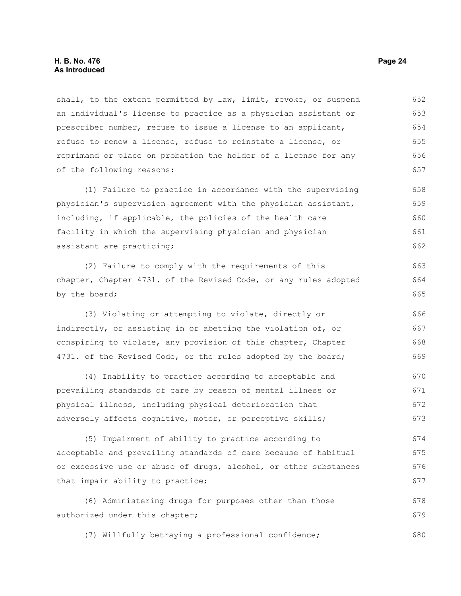shall, to the extent permitted by law, limit, revoke, or suspend an individual's license to practice as a physician assistant or prescriber number, refuse to issue a license to an applicant, refuse to renew a license, refuse to reinstate a license, or reprimand or place on probation the holder of a license for any of the following reasons: 652 653 654 655 656 657

(1) Failure to practice in accordance with the supervising physician's supervision agreement with the physician assistant, including, if applicable, the policies of the health care facility in which the supervising physician and physician assistant are practicing; 658 659 660 661 662

(2) Failure to comply with the requirements of this chapter, Chapter 4731. of the Revised Code, or any rules adopted by the board;

(3) Violating or attempting to violate, directly or indirectly, or assisting in or abetting the violation of, or conspiring to violate, any provision of this chapter, Chapter 4731. of the Revised Code, or the rules adopted by the board; 666 667 668 669

(4) Inability to practice according to acceptable and prevailing standards of care by reason of mental illness or physical illness, including physical deterioration that adversely affects cognitive, motor, or perceptive skills; 670 671 672 673

(5) Impairment of ability to practice according to acceptable and prevailing standards of care because of habitual or excessive use or abuse of drugs, alcohol, or other substances that impair ability to practice; 674 675 676 677

(6) Administering drugs for purposes other than those authorized under this chapter; 678 679

(7) Willfully betraying a professional confidence; 680

663 664 665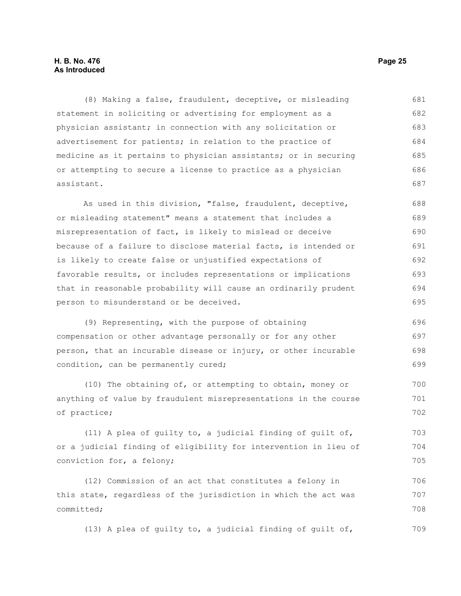#### **H. B. No. 476 Page 25 As Introduced**

(8) Making a false, fraudulent, deceptive, or misleading statement in soliciting or advertising for employment as a physician assistant; in connection with any solicitation or advertisement for patients; in relation to the practice of medicine as it pertains to physician assistants; or in securing or attempting to secure a license to practice as a physician assistant. 681 682 683 684 685 686 687

As used in this division, "false, fraudulent, deceptive, or misleading statement" means a statement that includes a misrepresentation of fact, is likely to mislead or deceive because of a failure to disclose material facts, is intended or is likely to create false or unjustified expectations of favorable results, or includes representations or implications that in reasonable probability will cause an ordinarily prudent person to misunderstand or be deceived. 688 689 690 691 692 693 694 695

(9) Representing, with the purpose of obtaining compensation or other advantage personally or for any other person, that an incurable disease or injury, or other incurable condition, can be permanently cured; 696 697 698 699

(10) The obtaining of, or attempting to obtain, money or anything of value by fraudulent misrepresentations in the course of practice; 700 701 702

(11) A plea of guilty to, a judicial finding of guilt of, or a judicial finding of eligibility for intervention in lieu of conviction for, a felony; 703 704 705

(12) Commission of an act that constitutes a felony in this state, regardless of the jurisdiction in which the act was committed; 706 707 708

(13) A plea of guilty to, a judicial finding of guilt of, 709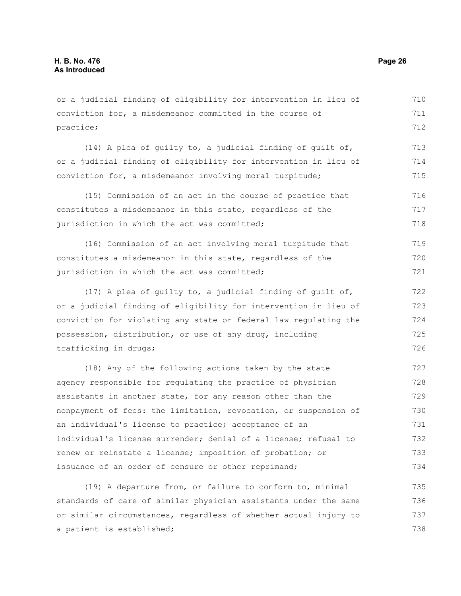or a judicial finding of eligibility for intervention in lieu of conviction for, a misdemeanor committed in the course of practice; 710 711 712

(14) A plea of guilty to, a judicial finding of guilt of, or a judicial finding of eligibility for intervention in lieu of conviction for, a misdemeanor involving moral turpitude; 713 714 715

(15) Commission of an act in the course of practice that constitutes a misdemeanor in this state, regardless of the jurisdiction in which the act was committed; 716 717 718

(16) Commission of an act involving moral turpitude that constitutes a misdemeanor in this state, regardless of the jurisdiction in which the act was committed; 719 720 721

(17) A plea of guilty to, a judicial finding of guilt of, or a judicial finding of eligibility for intervention in lieu of conviction for violating any state or federal law regulating the possession, distribution, or use of any drug, including trafficking in drugs; 722 723 724 725 726

(18) Any of the following actions taken by the state agency responsible for regulating the practice of physician assistants in another state, for any reason other than the nonpayment of fees: the limitation, revocation, or suspension of an individual's license to practice; acceptance of an individual's license surrender; denial of a license; refusal to renew or reinstate a license; imposition of probation; or issuance of an order of censure or other reprimand; 727 728 729 730 731 732 733 734

(19) A departure from, or failure to conform to, minimal standards of care of similar physician assistants under the same or similar circumstances, regardless of whether actual injury to a patient is established; 735 736 737 738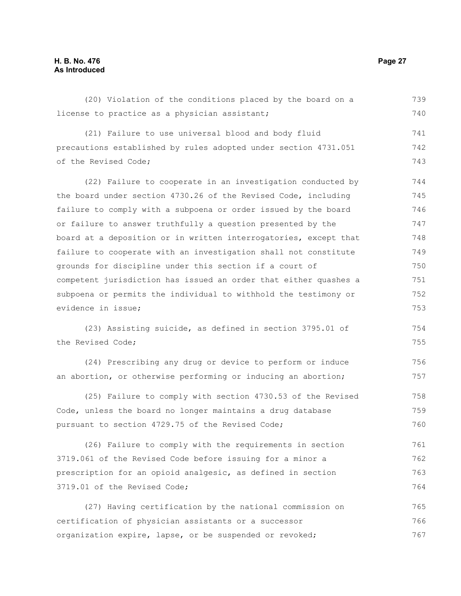### **H. B. No. 476 Page 27 As Introduced**

| (20) Violation of the conditions placed by the board on a        | 739 |
|------------------------------------------------------------------|-----|
| license to practice as a physician assistant;                    | 740 |
| (21) Failure to use universal blood and body fluid               | 741 |
| precautions established by rules adopted under section 4731.051  | 742 |
| of the Revised Code;                                             | 743 |
| (22) Failure to cooperate in an investigation conducted by       | 744 |
| the board under section 4730.26 of the Revised Code, including   | 745 |
| failure to comply with a subpoena or order issued by the board   | 746 |
| or failure to answer truthfully a question presented by the      | 747 |
| board at a deposition or in written interrogatories, except that | 748 |
| failure to cooperate with an investigation shall not constitute  | 749 |
| grounds for discipline under this section if a court of          | 750 |
| competent jurisdiction has issued an order that either quashes a | 751 |
| subpoena or permits the individual to withhold the testimony or  | 752 |
| evidence in issue;                                               | 753 |
| (23) Assisting suicide, as defined in section 3795.01 of         | 754 |
| the Revised Code;                                                | 755 |
| (24) Prescribing any drug or device to perform or induce         | 756 |
| an abortion, or otherwise performing or inducing an abortion;    | 757 |
| (25) Failure to comply with section 4730.53 of the Revised       | 758 |
| Code, unless the board no longer maintains a drug database       | 759 |
| pursuant to section 4729.75 of the Revised Code;                 | 760 |
| (26) Failure to comply with the requirements in section          | 761 |
| 3719.061 of the Revised Code before issuing for a minor a        | 762 |
| prescription for an opioid analgesic, as defined in section      | 763 |
| 3719.01 of the Revised Code;                                     | 764 |
| (27) Having certification by the national commission on          | 765 |
| certification of physician assistants or a successor             | 766 |
| organization expire, lapse, or be suspended or revoked;          | 767 |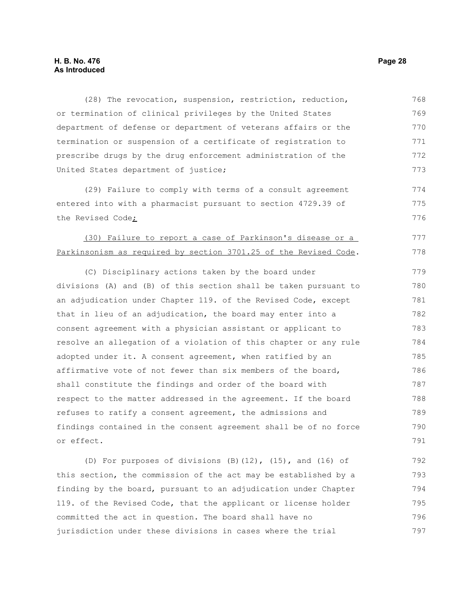#### **H. B. No. 476 Page 28 As Introduced**

(28) The revocation, suspension, restriction, reduction, or termination of clinical privileges by the United States department of defense or department of veterans affairs or the termination or suspension of a certificate of registration to prescribe drugs by the drug enforcement administration of the United States department of justice; 768 769 770 771 772 773

(29) Failure to comply with terms of a consult agreement entered into with a pharmacist pursuant to section 4729.39 of the Revised Code;

# (30) Failure to report a case of Parkinson's disease or a Parkinsonism as required by section 3701.25 of the Revised Code.

(C) Disciplinary actions taken by the board under divisions (A) and (B) of this section shall be taken pursuant to an adjudication under Chapter 119. of the Revised Code, except that in lieu of an adjudication, the board may enter into a consent agreement with a physician assistant or applicant to resolve an allegation of a violation of this chapter or any rule adopted under it. A consent agreement, when ratified by an affirmative vote of not fewer than six members of the board, shall constitute the findings and order of the board with respect to the matter addressed in the agreement. If the board refuses to ratify a consent agreement, the admissions and findings contained in the consent agreement shall be of no force or effect. 779 780 781 782 783 784 785 786 787 788 789 790 791

(D) For purposes of divisions (B)(12), (15), and (16) of this section, the commission of the act may be established by a finding by the board, pursuant to an adjudication under Chapter 119. of the Revised Code, that the applicant or license holder committed the act in question. The board shall have no jurisdiction under these divisions in cases where the trial 792 793 794 795 796 797

774 775 776

777 778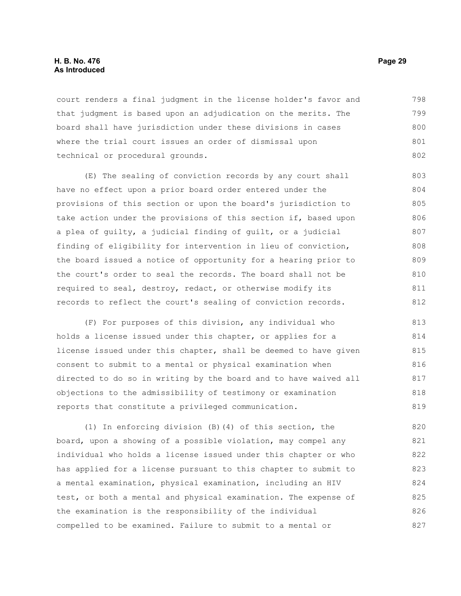#### **H. B. No. 476 Page 29 As Introduced**

court renders a final judgment in the license holder's favor and that judgment is based upon an adjudication on the merits. The board shall have jurisdiction under these divisions in cases where the trial court issues an order of dismissal upon technical or procedural grounds. 798 799 800 801 802

(E) The sealing of conviction records by any court shall have no effect upon a prior board order entered under the provisions of this section or upon the board's jurisdiction to take action under the provisions of this section if, based upon a plea of guilty, a judicial finding of guilt, or a judicial finding of eligibility for intervention in lieu of conviction, the board issued a notice of opportunity for a hearing prior to the court's order to seal the records. The board shall not be required to seal, destroy, redact, or otherwise modify its records to reflect the court's sealing of conviction records. 803 804 805 806 807 808 809 810 811 812

(F) For purposes of this division, any individual who holds a license issued under this chapter, or applies for a license issued under this chapter, shall be deemed to have given consent to submit to a mental or physical examination when directed to do so in writing by the board and to have waived all objections to the admissibility of testimony or examination reports that constitute a privileged communication. 813 814 815 816 817 818 819

(1) In enforcing division (B)(4) of this section, the board, upon a showing of a possible violation, may compel any individual who holds a license issued under this chapter or who has applied for a license pursuant to this chapter to submit to a mental examination, physical examination, including an HIV test, or both a mental and physical examination. The expense of the examination is the responsibility of the individual compelled to be examined. Failure to submit to a mental or 820 821 822 823 824 825 826 827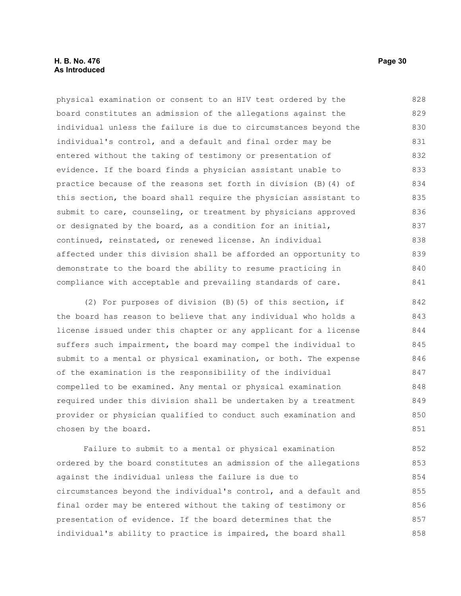#### **H. B. No. 476 Page 30 As Introduced**

physical examination or consent to an HIV test ordered by the board constitutes an admission of the allegations against the individual unless the failure is due to circumstances beyond the individual's control, and a default and final order may be entered without the taking of testimony or presentation of evidence. If the board finds a physician assistant unable to practice because of the reasons set forth in division (B)(4) of this section, the board shall require the physician assistant to submit to care, counseling, or treatment by physicians approved or designated by the board, as a condition for an initial, continued, reinstated, or renewed license. An individual affected under this division shall be afforded an opportunity to demonstrate to the board the ability to resume practicing in compliance with acceptable and prevailing standards of care. 828 829 830 831 832 833 834 835 836 837 838 839 840 841

(2) For purposes of division (B)(5) of this section, if the board has reason to believe that any individual who holds a license issued under this chapter or any applicant for a license suffers such impairment, the board may compel the individual to submit to a mental or physical examination, or both. The expense of the examination is the responsibility of the individual compelled to be examined. Any mental or physical examination required under this division shall be undertaken by a treatment provider or physician qualified to conduct such examination and chosen by the board. 842 843 844 845 846 847 848 849 850 851

Failure to submit to a mental or physical examination ordered by the board constitutes an admission of the allegations against the individual unless the failure is due to circumstances beyond the individual's control, and a default and final order may be entered without the taking of testimony or presentation of evidence. If the board determines that the individual's ability to practice is impaired, the board shall 852 853 854 855 856 857 858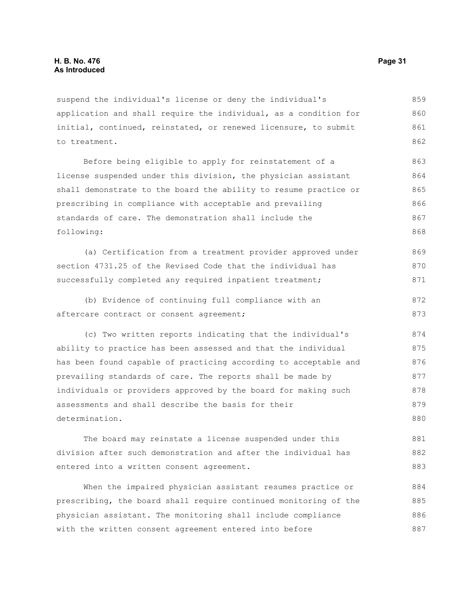suspend the individual's license or deny the individual's application and shall require the individual, as a condition for initial, continued, reinstated, or renewed licensure, to submit to treatment. 859 860 861 862

Before being eligible to apply for reinstatement of a license suspended under this division, the physician assistant shall demonstrate to the board the ability to resume practice or prescribing in compliance with acceptable and prevailing standards of care. The demonstration shall include the following: 863 864 865 866 867 868

(a) Certification from a treatment provider approved under section 4731.25 of the Revised Code that the individual has successfully completed any required inpatient treatment; 869 870 871

(b) Evidence of continuing full compliance with an aftercare contract or consent agreement; 872 873

(c) Two written reports indicating that the individual's ability to practice has been assessed and that the individual has been found capable of practicing according to acceptable and prevailing standards of care. The reports shall be made by individuals or providers approved by the board for making such assessments and shall describe the basis for their determination. 874 875 876 877 878 879 880

The board may reinstate a license suspended under this division after such demonstration and after the individual has entered into a written consent agreement. 881 882 883

When the impaired physician assistant resumes practice or prescribing, the board shall require continued monitoring of the physician assistant. The monitoring shall include compliance with the written consent agreement entered into before 884 885 886 887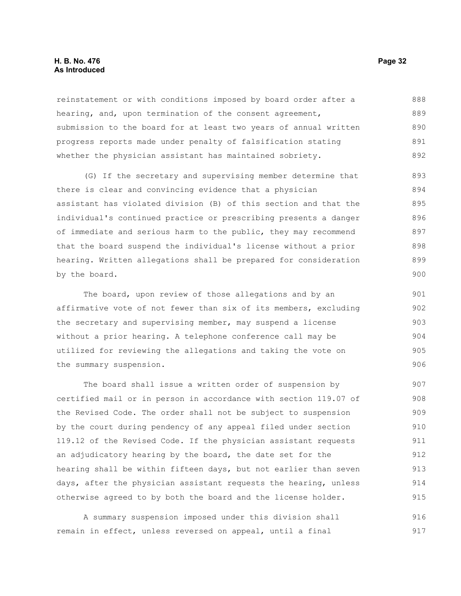#### **H. B. No. 476 Page 32 As Introduced**

reinstatement or with conditions imposed by board order after a hearing, and, upon termination of the consent agreement, submission to the board for at least two years of annual written progress reports made under penalty of falsification stating whether the physician assistant has maintained sobriety. 888 889 890 891 892

(G) If the secretary and supervising member determine that there is clear and convincing evidence that a physician assistant has violated division (B) of this section and that the individual's continued practice or prescribing presents a danger of immediate and serious harm to the public, they may recommend that the board suspend the individual's license without a prior hearing. Written allegations shall be prepared for consideration by the board. 893 894 895 896 897 898 899 900

The board, upon review of those allegations and by an affirmative vote of not fewer than six of its members, excluding the secretary and supervising member, may suspend a license without a prior hearing. A telephone conference call may be utilized for reviewing the allegations and taking the vote on the summary suspension.

The board shall issue a written order of suspension by certified mail or in person in accordance with section 119.07 of the Revised Code. The order shall not be subject to suspension by the court during pendency of any appeal filed under section 119.12 of the Revised Code. If the physician assistant requests an adjudicatory hearing by the board, the date set for the hearing shall be within fifteen days, but not earlier than seven days, after the physician assistant requests the hearing, unless otherwise agreed to by both the board and the license holder. 907 908 909 910 911 912 913 914 915

A summary suspension imposed under this division shall remain in effect, unless reversed on appeal, until a final 916 917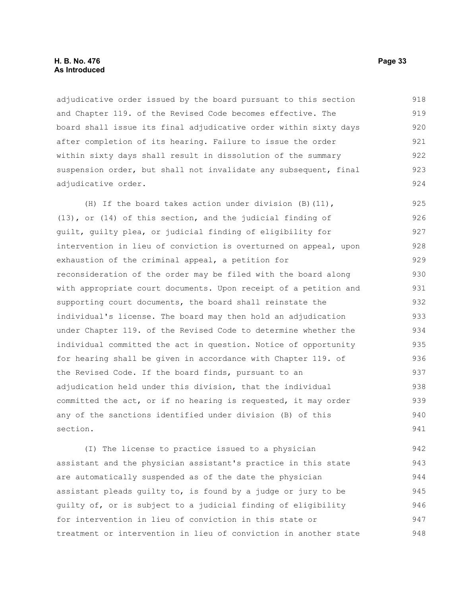#### **H. B. No. 476 Page 33 As Introduced**

adjudicative order issued by the board pursuant to this section and Chapter 119. of the Revised Code becomes effective. The board shall issue its final adjudicative order within sixty days after completion of its hearing. Failure to issue the order within sixty days shall result in dissolution of the summary suspension order, but shall not invalidate any subsequent, final adjudicative order. 918 919 920 921 922 923 924

(H) If the board takes action under division (B)(11), (13), or (14) of this section, and the judicial finding of guilt, guilty plea, or judicial finding of eligibility for intervention in lieu of conviction is overturned on appeal, upon exhaustion of the criminal appeal, a petition for reconsideration of the order may be filed with the board along with appropriate court documents. Upon receipt of a petition and supporting court documents, the board shall reinstate the individual's license. The board may then hold an adjudication under Chapter 119. of the Revised Code to determine whether the individual committed the act in question. Notice of opportunity for hearing shall be given in accordance with Chapter 119. of the Revised Code. If the board finds, pursuant to an adjudication held under this division, that the individual committed the act, or if no hearing is requested, it may order any of the sanctions identified under division (B) of this section. 925 926 927 928 929 930 931 932 933 934 935 936 937 938 939 940 941

(I) The license to practice issued to a physician assistant and the physician assistant's practice in this state are automatically suspended as of the date the physician assistant pleads guilty to, is found by a judge or jury to be guilty of, or is subject to a judicial finding of eligibility for intervention in lieu of conviction in this state or treatment or intervention in lieu of conviction in another state 942 943 944 945 946 947 948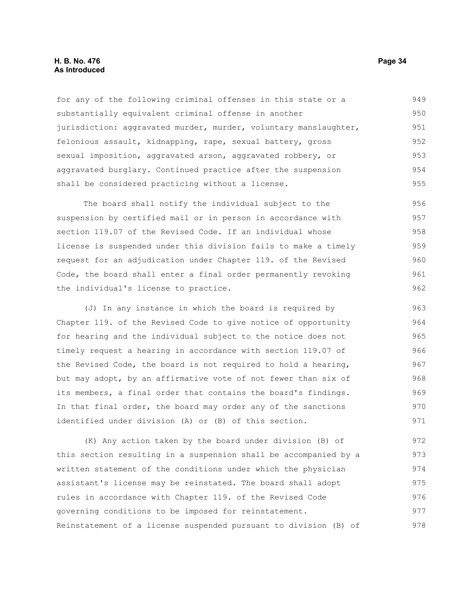#### **H. B. No. 476 Page 34 As Introduced**

for any of the following criminal offenses in this state or a substantially equivalent criminal offense in another jurisdiction: aggravated murder, murder, voluntary manslaughter, felonious assault, kidnapping, rape, sexual battery, gross sexual imposition, aggravated arson, aggravated robbery, or aggravated burglary. Continued practice after the suspension shall be considered practicing without a license. 949 950 951 952 953 954 955

The board shall notify the individual subject to the suspension by certified mail or in person in accordance with section 119.07 of the Revised Code. If an individual whose license is suspended under this division fails to make a timely request for an adjudication under Chapter 119. of the Revised Code, the board shall enter a final order permanently revoking the individual's license to practice. 956 957 958 959 960 961 962

(J) In any instance in which the board is required by Chapter 119. of the Revised Code to give notice of opportunity for hearing and the individual subject to the notice does not timely request a hearing in accordance with section 119.07 of the Revised Code, the board is not required to hold a hearing, but may adopt, by an affirmative vote of not fewer than six of its members, a final order that contains the board's findings. In that final order, the board may order any of the sanctions identified under division (A) or (B) of this section. 963 964 965 966 967 968 969 970 971

(K) Any action taken by the board under division (B) of this section resulting in a suspension shall be accompanied by a written statement of the conditions under which the physician assistant's license may be reinstated. The board shall adopt rules in accordance with Chapter 119. of the Revised Code governing conditions to be imposed for reinstatement. Reinstatement of a license suspended pursuant to division (B) of 972 973 974 975 976 977 978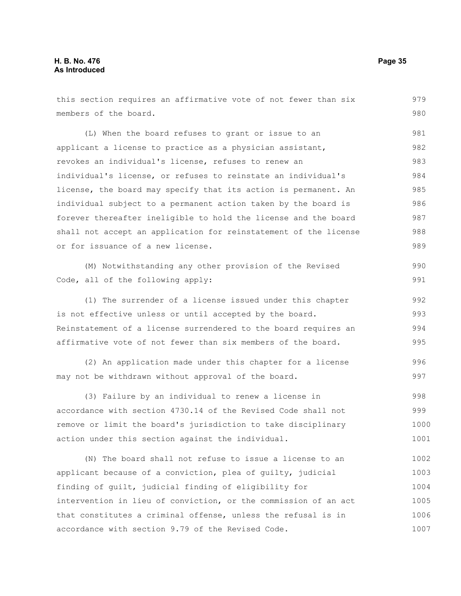this section requires an affirmative vote of not fewer than six members of the board. (L) When the board refuses to grant or issue to an applicant a license to practice as a physician assistant, revokes an individual's license, refuses to renew an individual's license, or refuses to reinstate an individual's license, the board may specify that its action is permanent. An individual subject to a permanent action taken by the board is forever thereafter ineligible to hold the license and the board shall not accept an application for reinstatement of the license or for issuance of a new license. (M) Notwithstanding any other provision of the Revised Code, all of the following apply: (1) The surrender of a license issued under this chapter is not effective unless or until accepted by the board. Reinstatement of a license surrendered to the board requires an affirmative vote of not fewer than six members of the board. (2) An application made under this chapter for a license may not be withdrawn without approval of the board. (3) Failure by an individual to renew a license in accordance with section 4730.14 of the Revised Code shall not remove or limit the board's jurisdiction to take disciplinary action under this section against the individual. (N) The board shall not refuse to issue a license to an 979 980 981 982 983 984 985 986 987 988 989 990 991 992 993 994 995 996 997 998 999 1000 1001 1002 1003 1004 1005

applicant because of a conviction, plea of guilty, judicial finding of guilt, judicial finding of eligibility for intervention in lieu of conviction, or the commission of an act

that constitutes a criminal offense, unless the refusal is in

accordance with section 9.79 of the Revised Code.

1006 1007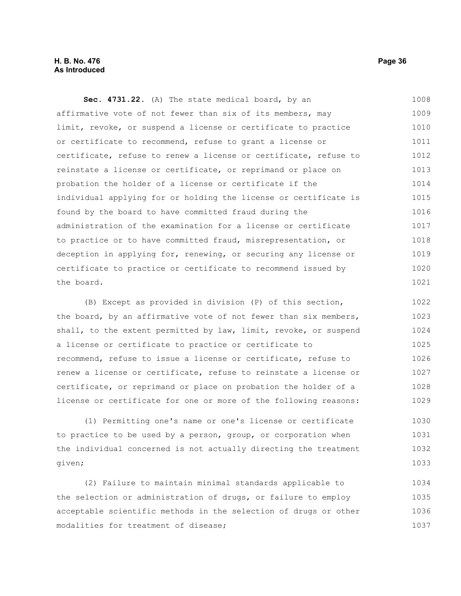#### **H. B. No. 476 Page 36 As Introduced**

**Sec. 4731.22.** (A) The state medical board, by an affirmative vote of not fewer than six of its members, may limit, revoke, or suspend a license or certificate to practice or certificate to recommend, refuse to grant a license or certificate, refuse to renew a license or certificate, refuse to reinstate a license or certificate, or reprimand or place on probation the holder of a license or certificate if the individual applying for or holding the license or certificate is found by the board to have committed fraud during the administration of the examination for a license or certificate to practice or to have committed fraud, misrepresentation, or deception in applying for, renewing, or securing any license or certificate to practice or certificate to recommend issued by the board. 1008 1009 1010 1011 1012 1013 1014 1015 1016 1017 1018 1019 1020 1021

(B) Except as provided in division (P) of this section, the board, by an affirmative vote of not fewer than six members, shall, to the extent permitted by law, limit, revoke, or suspend a license or certificate to practice or certificate to recommend, refuse to issue a license or certificate, refuse to renew a license or certificate, refuse to reinstate a license or certificate, or reprimand or place on probation the holder of a license or certificate for one or more of the following reasons: 1022 1023 1024 1025 1026 1027 1028 1029

(1) Permitting one's name or one's license or certificate to practice to be used by a person, group, or corporation when the individual concerned is not actually directing the treatment given; 1030 1031 1032 1033

(2) Failure to maintain minimal standards applicable to the selection or administration of drugs, or failure to employ acceptable scientific methods in the selection of drugs or other modalities for treatment of disease; 1034 1035 1036 1037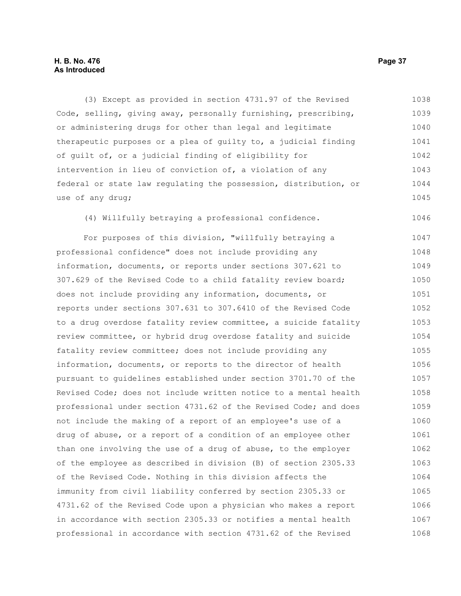#### **H. B. No. 476 Page 37 As Introduced**

(3) Except as provided in section 4731.97 of the Revised Code, selling, giving away, personally furnishing, prescribing, or administering drugs for other than legal and legitimate therapeutic purposes or a plea of guilty to, a judicial finding of guilt of, or a judicial finding of eligibility for intervention in lieu of conviction of, a violation of any federal or state law regulating the possession, distribution, or use of any drug; 1038 1039 1040 1041 1042 1043 1044 1045

(4) Willfully betraying a professional confidence.

For purposes of this division, "willfully betraying a professional confidence" does not include providing any information, documents, or reports under sections 307.621 to 307.629 of the Revised Code to a child fatality review board; does not include providing any information, documents, or reports under sections 307.631 to 307.6410 of the Revised Code to a drug overdose fatality review committee, a suicide fatality review committee, or hybrid drug overdose fatality and suicide fatality review committee; does not include providing any information, documents, or reports to the director of health pursuant to guidelines established under section 3701.70 of the Revised Code; does not include written notice to a mental health professional under section 4731.62 of the Revised Code; and does not include the making of a report of an employee's use of a drug of abuse, or a report of a condition of an employee other than one involving the use of a drug of abuse, to the employer of the employee as described in division (B) of section 2305.33 of the Revised Code. Nothing in this division affects the immunity from civil liability conferred by section 2305.33 or 4731.62 of the Revised Code upon a physician who makes a report in accordance with section 2305.33 or notifies a mental health professional in accordance with section 4731.62 of the Revised 1047 1048 1049 1050 1051 1052 1053 1054 1055 1056 1057 1058 1059 1060 1061 1062 1063 1064 1065 1066 1067 1068

1046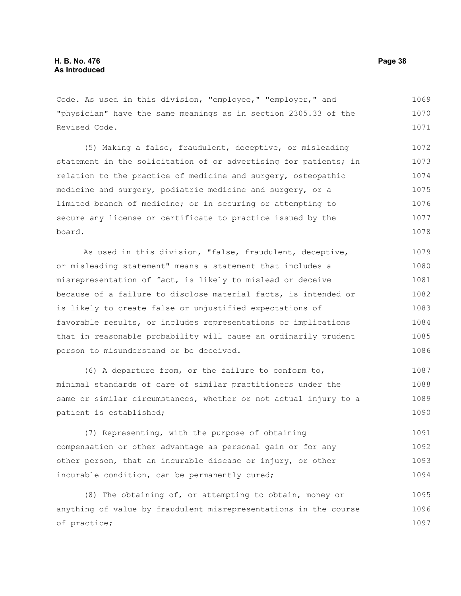Code. As used in this division, "employee," "employer," and "physician" have the same meanings as in section 2305.33 of the Revised Code. 1069 1070 1071

(5) Making a false, fraudulent, deceptive, or misleading statement in the solicitation of or advertising for patients; in relation to the practice of medicine and surgery, osteopathic medicine and surgery, podiatric medicine and surgery, or a limited branch of medicine; or in securing or attempting to secure any license or certificate to practice issued by the board. 1072 1073 1074 1075 1076 1077 1078

As used in this division, "false, fraudulent, deceptive, or misleading statement" means a statement that includes a misrepresentation of fact, is likely to mislead or deceive because of a failure to disclose material facts, is intended or is likely to create false or unjustified expectations of favorable results, or includes representations or implications that in reasonable probability will cause an ordinarily prudent person to misunderstand or be deceived. 1079 1080 1081 1082 1083 1084 1085 1086

(6) A departure from, or the failure to conform to, minimal standards of care of similar practitioners under the same or similar circumstances, whether or not actual injury to a patient is established; 1087 1088 1089 1090

(7) Representing, with the purpose of obtaining compensation or other advantage as personal gain or for any other person, that an incurable disease or injury, or other incurable condition, can be permanently cured; 1091 1092 1093 1094

(8) The obtaining of, or attempting to obtain, money or anything of value by fraudulent misrepresentations in the course of practice; 1095 1096 1097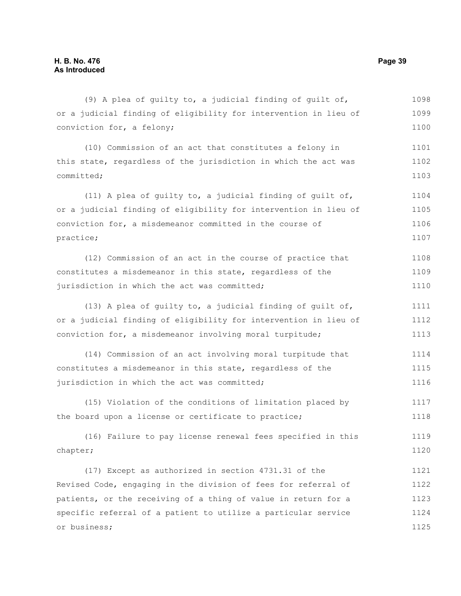(9) A plea of guilty to, a judicial finding of guilt of, or a judicial finding of eligibility for intervention in lieu of conviction for, a felony; (10) Commission of an act that constitutes a felony in this state, regardless of the jurisdiction in which the act was committed; (11) A plea of guilty to, a judicial finding of guilt of, or a judicial finding of eligibility for intervention in lieu of conviction for, a misdemeanor committed in the course of practice; (12) Commission of an act in the course of practice that constitutes a misdemeanor in this state, regardless of the jurisdiction in which the act was committed; (13) A plea of guilty to, a judicial finding of guilt of, or a judicial finding of eligibility for intervention in lieu of conviction for, a misdemeanor involving moral turpitude; (14) Commission of an act involving moral turpitude that constitutes a misdemeanor in this state, regardless of the jurisdiction in which the act was committed; (15) Violation of the conditions of limitation placed by the board upon a license or certificate to practice; (16) Failure to pay license renewal fees specified in this chapter; (17) Except as authorized in section 4731.31 of the Revised Code, engaging in the division of fees for referral of 1098 1099 1100 1101 1102 1103 1104 1105 1106 1107 1108 1109 1110 1111 1112 1113 1114 1115 1116 1117 1118 1119 1120 1121 1122

patients, or the receiving of a thing of value in return for a specific referral of a patient to utilize a particular service or business; 1123 1124 1125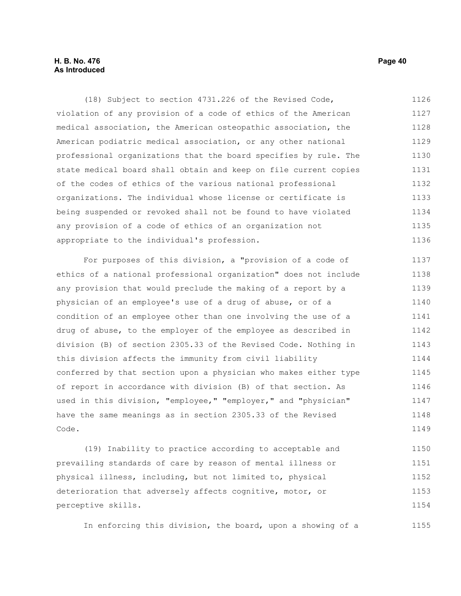#### **H. B. No. 476 Page 40 As Introduced**

(18) Subject to section 4731.226 of the Revised Code, violation of any provision of a code of ethics of the American medical association, the American osteopathic association, the American podiatric medical association, or any other national professional organizations that the board specifies by rule. The state medical board shall obtain and keep on file current copies of the codes of ethics of the various national professional organizations. The individual whose license or certificate is being suspended or revoked shall not be found to have violated any provision of a code of ethics of an organization not appropriate to the individual's profession. 1126 1127 1128 1129 1130 1131 1132 1133 1134 1135 1136

For purposes of this division, a "provision of a code of ethics of a national professional organization" does not include any provision that would preclude the making of a report by a physician of an employee's use of a drug of abuse, or of a condition of an employee other than one involving the use of a drug of abuse, to the employer of the employee as described in division (B) of section 2305.33 of the Revised Code. Nothing in this division affects the immunity from civil liability conferred by that section upon a physician who makes either type of report in accordance with division (B) of that section. As used in this division, "employee," "employer," and "physician" have the same meanings as in section 2305.33 of the Revised Code. 1137 1138 1139 1140 1141 1142 1143 1144 1145 1146 1147 1148 1149

(19) Inability to practice according to acceptable and prevailing standards of care by reason of mental illness or physical illness, including, but not limited to, physical deterioration that adversely affects cognitive, motor, or perceptive skills. 1150 1151 1152 1153 1154

In enforcing this division, the board, upon a showing of a

1155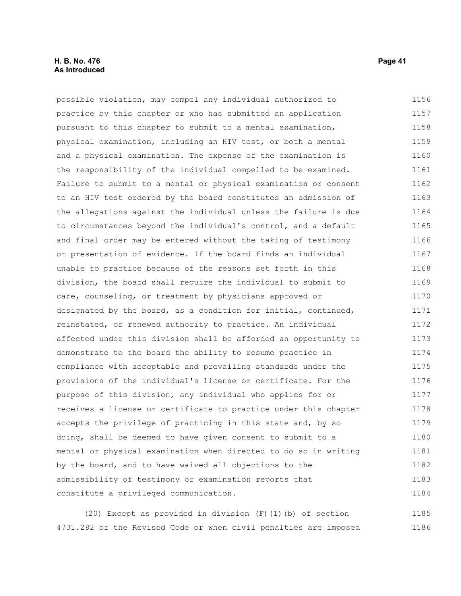#### **H. B. No. 476 Page 41 As Introduced**

possible violation, may compel any individual authorized to practice by this chapter or who has submitted an application pursuant to this chapter to submit to a mental examination, physical examination, including an HIV test, or both a mental and a physical examination. The expense of the examination is the responsibility of the individual compelled to be examined. Failure to submit to a mental or physical examination or consent to an HIV test ordered by the board constitutes an admission of the allegations against the individual unless the failure is due to circumstances beyond the individual's control, and a default and final order may be entered without the taking of testimony or presentation of evidence. If the board finds an individual unable to practice because of the reasons set forth in this division, the board shall require the individual to submit to care, counseling, or treatment by physicians approved or designated by the board, as a condition for initial, continued, reinstated, or renewed authority to practice. An individual affected under this division shall be afforded an opportunity to demonstrate to the board the ability to resume practice in compliance with acceptable and prevailing standards under the provisions of the individual's license or certificate. For the purpose of this division, any individual who applies for or receives a license or certificate to practice under this chapter accepts the privilege of practicing in this state and, by so doing, shall be deemed to have given consent to submit to a mental or physical examination when directed to do so in writing by the board, and to have waived all objections to the admissibility of testimony or examination reports that constitute a privileged communication. 1156 1157 1158 1159 1160 1161 1162 1163 1164 1165 1166 1167 1168 1169 1170 1171 1172 1173 1174 1175 1176 1177 1178 1179 1180 1181 1182 1183 1184

(20) Except as provided in division (F)(1)(b) of section 4731.282 of the Revised Code or when civil penalties are imposed 1185 1186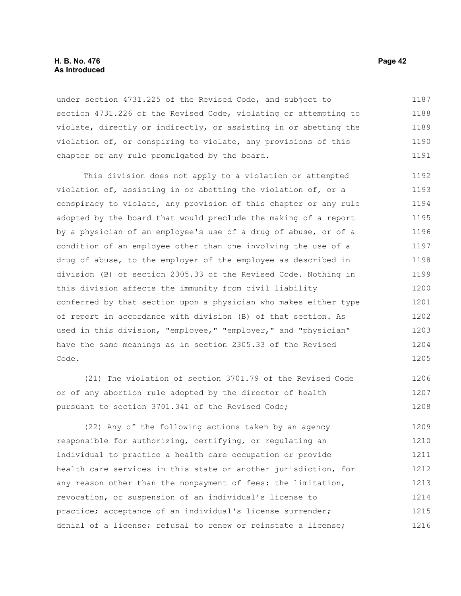#### **H. B. No. 476 Page 42 As Introduced**

under section 4731.225 of the Revised Code, and subject to section 4731.226 of the Revised Code, violating or attempting to violate, directly or indirectly, or assisting in or abetting the violation of, or conspiring to violate, any provisions of this chapter or any rule promulgated by the board. 1187 1188 1189 1190 1191

This division does not apply to a violation or attempted violation of, assisting in or abetting the violation of, or a conspiracy to violate, any provision of this chapter or any rule adopted by the board that would preclude the making of a report by a physician of an employee's use of a drug of abuse, or of a condition of an employee other than one involving the use of a drug of abuse, to the employer of the employee as described in division (B) of section 2305.33 of the Revised Code. Nothing in this division affects the immunity from civil liability conferred by that section upon a physician who makes either type of report in accordance with division (B) of that section. As used in this division, "employee," "employer," and "physician" have the same meanings as in section 2305.33 of the Revised Code. 1192 1193 1194 1195 1196 1197 1198 1199 1200 1201 1202 1203 1204 1205

(21) The violation of section 3701.79 of the Revised Code or of any abortion rule adopted by the director of health pursuant to section 3701.341 of the Revised Code; 1206 1207 1208

(22) Any of the following actions taken by an agency responsible for authorizing, certifying, or regulating an individual to practice a health care occupation or provide health care services in this state or another jurisdiction, for any reason other than the nonpayment of fees: the limitation, revocation, or suspension of an individual's license to practice; acceptance of an individual's license surrender; denial of a license; refusal to renew or reinstate a license; 1209 1210 1211 1212 1213 1214 1215 1216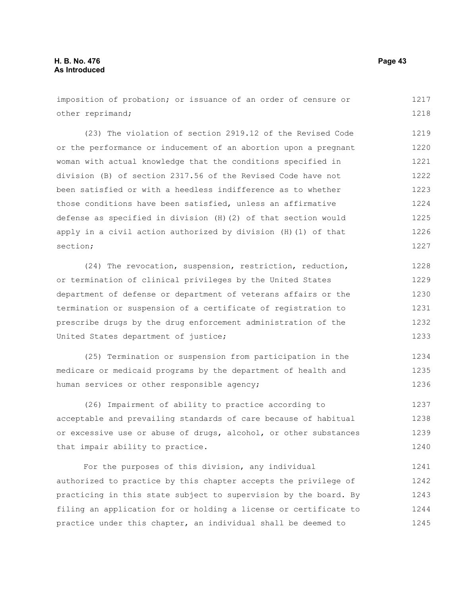imposition of probation; or issuance of an order of censure or other reprimand; 1217 1218

(23) The violation of section 2919.12 of the Revised Code or the performance or inducement of an abortion upon a pregnant woman with actual knowledge that the conditions specified in division (B) of section 2317.56 of the Revised Code have not been satisfied or with a heedless indifference as to whether those conditions have been satisfied, unless an affirmative defense as specified in division (H)(2) of that section would apply in a civil action authorized by division (H)(1) of that section; 1219 1220 1221 1222 1223 1224 1225 1226 1227

(24) The revocation, suspension, restriction, reduction, or termination of clinical privileges by the United States department of defense or department of veterans affairs or the termination or suspension of a certificate of registration to prescribe drugs by the drug enforcement administration of the United States department of justice; 1228 1229 1230 1231 1232 1233

(25) Termination or suspension from participation in the medicare or medicaid programs by the department of health and human services or other responsible agency; 1234 1235 1236

(26) Impairment of ability to practice according to acceptable and prevailing standards of care because of habitual or excessive use or abuse of drugs, alcohol, or other substances that impair ability to practice. 1237 1238 1239 1240

For the purposes of this division, any individual authorized to practice by this chapter accepts the privilege of practicing in this state subject to supervision by the board. By filing an application for or holding a license or certificate to practice under this chapter, an individual shall be deemed to 1241 1242 1243 1244 1245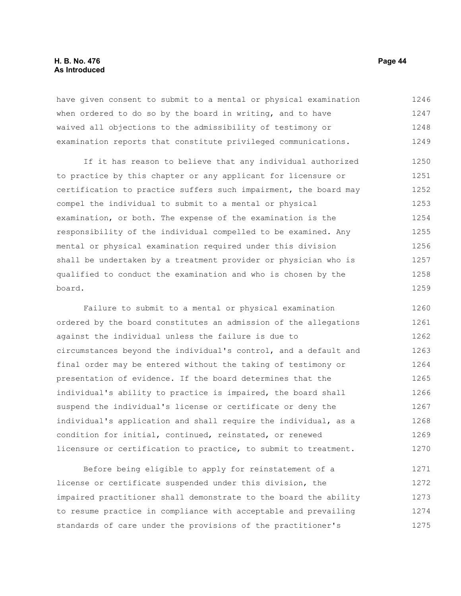#### **H. B. No. 476 Page 44 As Introduced**

have given consent to submit to a mental or physical examination when ordered to do so by the board in writing, and to have waived all objections to the admissibility of testimony or examination reports that constitute privileged communications. 1246 1247 1248 1249

If it has reason to believe that any individual authorized to practice by this chapter or any applicant for licensure or certification to practice suffers such impairment, the board may compel the individual to submit to a mental or physical examination, or both. The expense of the examination is the responsibility of the individual compelled to be examined. Any mental or physical examination required under this division shall be undertaken by a treatment provider or physician who is qualified to conduct the examination and who is chosen by the board. 1250 1251 1252 1253 1254 1255 1256 1257 1258 1259

Failure to submit to a mental or physical examination ordered by the board constitutes an admission of the allegations against the individual unless the failure is due to circumstances beyond the individual's control, and a default and final order may be entered without the taking of testimony or presentation of evidence. If the board determines that the individual's ability to practice is impaired, the board shall suspend the individual's license or certificate or deny the individual's application and shall require the individual, as a condition for initial, continued, reinstated, or renewed licensure or certification to practice, to submit to treatment. 1260 1261 1262 1263 1264 1265 1266 1267 1268 1269 1270

Before being eligible to apply for reinstatement of a license or certificate suspended under this division, the impaired practitioner shall demonstrate to the board the ability to resume practice in compliance with acceptable and prevailing standards of care under the provisions of the practitioner's 1271 1272 1273 1274 1275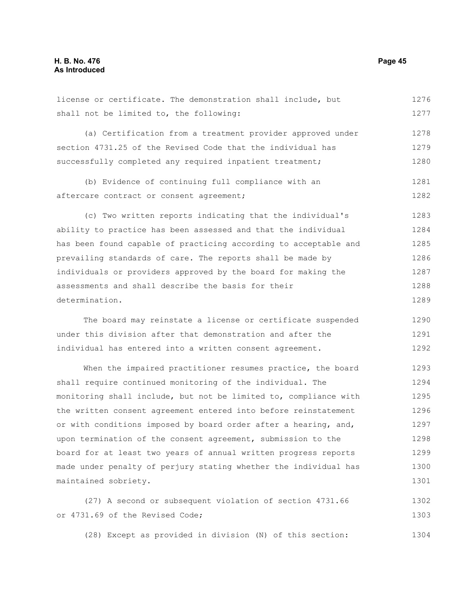license or certificate. The demonstration shall include, but shall not be limited to, the following: (a) Certification from a treatment provider approved under section 4731.25 of the Revised Code that the individual has successfully completed any required inpatient treatment; (b) Evidence of continuing full compliance with an aftercare contract or consent agreement; (c) Two written reports indicating that the individual's ability to practice has been assessed and that the individual 1276 1277 1278 1279 1280 1281 1282 1283 1284

has been found capable of practicing according to acceptable and prevailing standards of care. The reports shall be made by individuals or providers approved by the board for making the assessments and shall describe the basis for their determination. 1285 1286 1287 1288 1289

The board may reinstate a license or certificate suspended under this division after that demonstration and after the individual has entered into a written consent agreement. 1290 1291 1292

When the impaired practitioner resumes practice, the board shall require continued monitoring of the individual. The monitoring shall include, but not be limited to, compliance with the written consent agreement entered into before reinstatement or with conditions imposed by board order after a hearing, and, upon termination of the consent agreement, submission to the board for at least two years of annual written progress reports made under penalty of perjury stating whether the individual has maintained sobriety. 1293 1294 1295 1296 1297 1298 1299 1300 1301

(27) A second or subsequent violation of section 4731.66 or 4731.69 of the Revised Code; 1302 1303

(28) Except as provided in division (N) of this section: 1304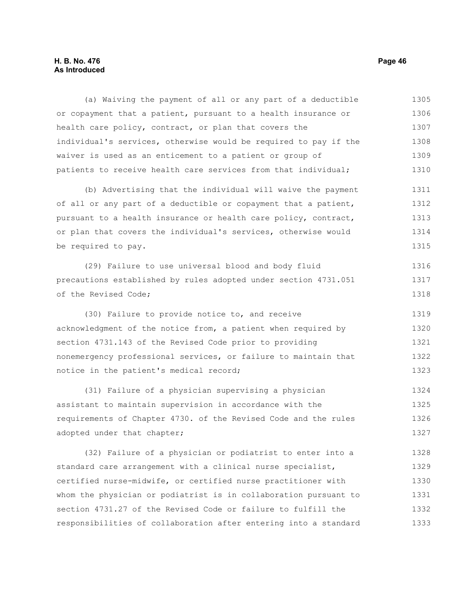#### **H. B. No. 476 Page 46 As Introduced**

(a) Waiving the payment of all or any part of a deductible or copayment that a patient, pursuant to a health insurance or health care policy, contract, or plan that covers the individual's services, otherwise would be required to pay if the waiver is used as an enticement to a patient or group of patients to receive health care services from that individual; 1305 1306 1307 1308 1309 1310

(b) Advertising that the individual will waive the payment of all or any part of a deductible or copayment that a patient, pursuant to a health insurance or health care policy, contract, or plan that covers the individual's services, otherwise would be required to pay. 1311 1312 1313 1314 1315

(29) Failure to use universal blood and body fluid precautions established by rules adopted under section 4731.051 of the Revised Code; 1316 1317 1318

(30) Failure to provide notice to, and receive acknowledgment of the notice from, a patient when required by section 4731.143 of the Revised Code prior to providing nonemergency professional services, or failure to maintain that notice in the patient's medical record; 1319 1320 1321 1322 1323

(31) Failure of a physician supervising a physician assistant to maintain supervision in accordance with the requirements of Chapter 4730. of the Revised Code and the rules adopted under that chapter; 1324 1325 1326 1327

(32) Failure of a physician or podiatrist to enter into a standard care arrangement with a clinical nurse specialist, certified nurse-midwife, or certified nurse practitioner with whom the physician or podiatrist is in collaboration pursuant to section 4731.27 of the Revised Code or failure to fulfill the responsibilities of collaboration after entering into a standard 1328 1329 1330 1331 1332 1333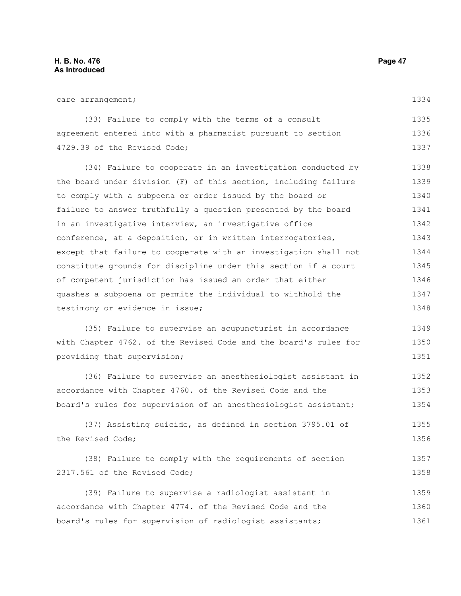1361

| care arrangement;                                                | 1334 |
|------------------------------------------------------------------|------|
| (33) Failure to comply with the terms of a consult               | 1335 |
| agreement entered into with a pharmacist pursuant to section     | 1336 |
| 4729.39 of the Revised Code;                                     | 1337 |
| (34) Failure to cooperate in an investigation conducted by       | 1338 |
| the board under division (F) of this section, including failure  | 1339 |
| to comply with a subpoena or order issued by the board or        | 1340 |
| failure to answer truthfully a question presented by the board   | 1341 |
| in an investigative interview, an investigative office           | 1342 |
| conference, at a deposition, or in written interrogatories,      | 1343 |
| except that failure to cooperate with an investigation shall not | 1344 |
| constitute grounds for discipline under this section if a court  | 1345 |
| of competent jurisdiction has issued an order that either        | 1346 |
| quashes a subpoena or permits the individual to withhold the     | 1347 |
| testimony or evidence in issue;                                  | 1348 |
| (35) Failure to supervise an acupuncturist in accordance         | 1349 |
| with Chapter 4762. of the Revised Code and the board's rules for | 1350 |
| providing that supervision;                                      | 1351 |
| (36) Failure to supervise an anesthesiologist assistant in       | 1352 |
| accordance with Chapter 4760. of the Revised Code and the        | 1353 |
| board's rules for supervision of an anesthesiologist assistant;  | 1354 |
| (37) Assisting suicide, as defined in section 3795.01 of         | 1355 |
| the Revised Code;                                                | 1356 |
| (38) Failure to comply with the requirements of section          | 1357 |
| 2317.561 of the Revised Code;                                    | 1358 |
| (39) Failure to supervise a radiologist assistant in             | 1359 |
| accordance with Chapter 4774. of the Revised Code and the        | 1360 |

board's rules for supervision of radiologist assistants;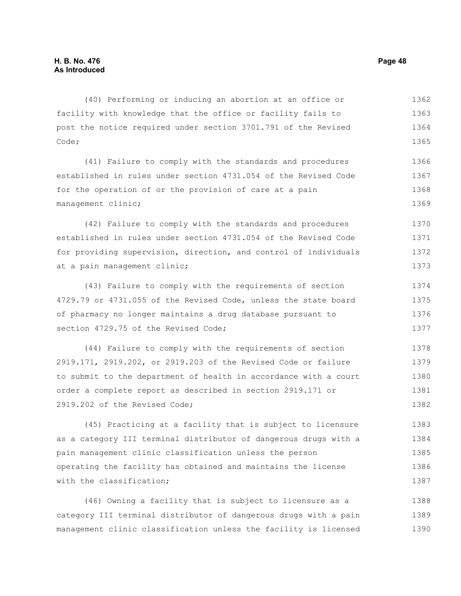(40) Performing or inducing an abortion at an office or facility with knowledge that the office or facility fails to post the notice required under section 3701.791 of the Revised Code; 1362 1363 1364 1365

(41) Failure to comply with the standards and procedures established in rules under section 4731.054 of the Revised Code for the operation of or the provision of care at a pain management clinic; 1366 1367 1368 1369

(42) Failure to comply with the standards and procedures established in rules under section 4731.054 of the Revised Code for providing supervision, direction, and control of individuals at a pain management clinic; 1370 1371 1372 1373

(43) Failure to comply with the requirements of section 4729.79 or 4731.055 of the Revised Code, unless the state board of pharmacy no longer maintains a drug database pursuant to section 4729.75 of the Revised Code; 1374 1375 1376 1377

(44) Failure to comply with the requirements of section 2919.171, 2919.202, or 2919.203 of the Revised Code or failure to submit to the department of health in accordance with a court order a complete report as described in section 2919.171 or 2919.202 of the Revised Code; 1378 1379 1380 1381 1382

(45) Practicing at a facility that is subject to licensure as a category III terminal distributor of dangerous drugs with a pain management clinic classification unless the person operating the facility has obtained and maintains the license with the classification; 1383 1384 1385 1386 1387

(46) Owning a facility that is subject to licensure as a category III terminal distributor of dangerous drugs with a pain management clinic classification unless the facility is licensed 1388 1389 1390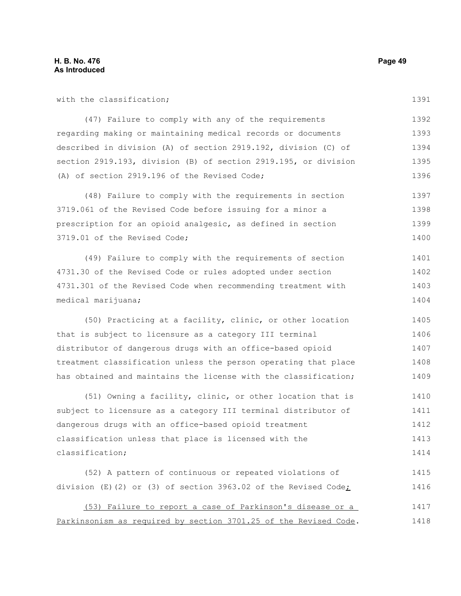1391

| (47) Failure to comply with any of the requirements             | 1392 |
|-----------------------------------------------------------------|------|
| regarding making or maintaining medical records or documents    | 1393 |
| described in division (A) of section 2919.192, division (C) of  | 1394 |
| section 2919.193, division (B) of section 2919.195, or division | 1395 |
| (A) of section 2919.196 of the Revised Code;                    | 1396 |

(48) Failure to comply with the requirements in section 3719.061 of the Revised Code before issuing for a minor a prescription for an opioid analgesic, as defined in section 3719.01 of the Revised Code; 1397 1398 1399 1400

(49) Failure to comply with the requirements of section 4731.30 of the Revised Code or rules adopted under section 4731.301 of the Revised Code when recommending treatment with medical marijuana; 1401 1402 1403 1404

(50) Practicing at a facility, clinic, or other location that is subject to licensure as a category III terminal distributor of dangerous drugs with an office-based opioid treatment classification unless the person operating that place has obtained and maintains the license with the classification; 1405 1406 1407 1408 1409

(51) Owning a facility, clinic, or other location that is subject to licensure as a category III terminal distributor of dangerous drugs with an office-based opioid treatment classification unless that place is licensed with the classification; 1410 1411 1412 1413 1414

(52) A pattern of continuous or repeated violations of division (E)(2) or (3) of section 3963.02 of the Revised Code; 1415 1416

(53) Failure to report a case of Parkinson's disease or a Parkinsonism as required by section 3701.25 of the Revised Code. 1417 1418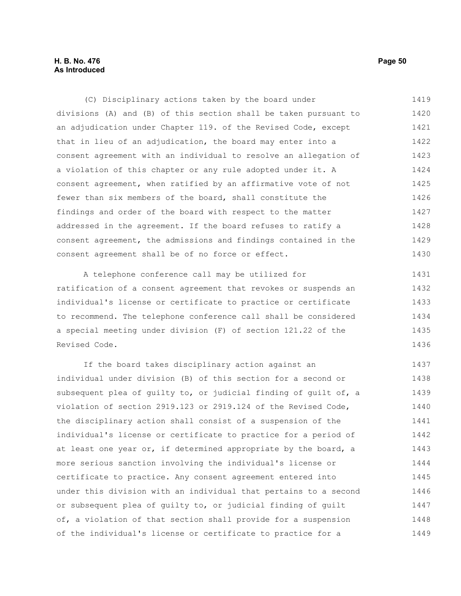#### **H. B. No. 476 Page 50 As Introduced**

(C) Disciplinary actions taken by the board under divisions (A) and (B) of this section shall be taken pursuant to an adjudication under Chapter 119. of the Revised Code, except that in lieu of an adjudication, the board may enter into a consent agreement with an individual to resolve an allegation of a violation of this chapter or any rule adopted under it. A consent agreement, when ratified by an affirmative vote of not fewer than six members of the board, shall constitute the findings and order of the board with respect to the matter addressed in the agreement. If the board refuses to ratify a consent agreement, the admissions and findings contained in the consent agreement shall be of no force or effect. 1419 1420 1421 1422 1423 1424 1425 1426 1427 1428 1429 1430

A telephone conference call may be utilized for ratification of a consent agreement that revokes or suspends an individual's license or certificate to practice or certificate to recommend. The telephone conference call shall be considered a special meeting under division (F) of section 121.22 of the Revised Code. 1431 1432 1433 1434 1435 1436

If the board takes disciplinary action against an individual under division (B) of this section for a second or subsequent plea of guilty to, or judicial finding of guilt of, a violation of section 2919.123 or 2919.124 of the Revised Code, the disciplinary action shall consist of a suspension of the individual's license or certificate to practice for a period of at least one year or, if determined appropriate by the board, a more serious sanction involving the individual's license or certificate to practice. Any consent agreement entered into under this division with an individual that pertains to a second or subsequent plea of guilty to, or judicial finding of guilt of, a violation of that section shall provide for a suspension of the individual's license or certificate to practice for a 1437 1438 1439 1440 1441 1442 1443 1444 1445 1446 1447 1448 1449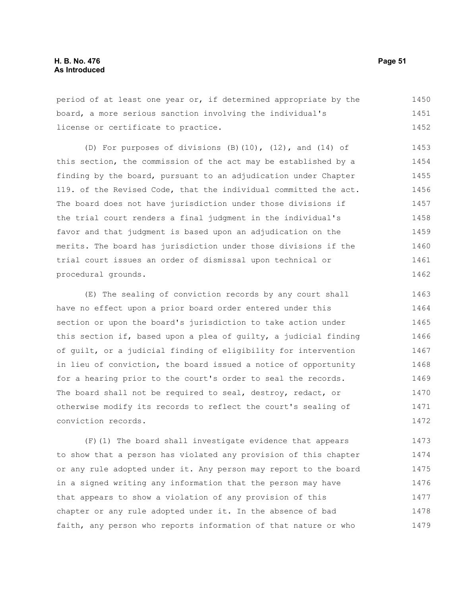period of at least one year or, if determined appropriate by the board, a more serious sanction involving the individual's license or certificate to practice. 1450 1451 1452

(D) For purposes of divisions (B)(10), (12), and (14) of this section, the commission of the act may be established by a finding by the board, pursuant to an adjudication under Chapter 119. of the Revised Code, that the individual committed the act. The board does not have jurisdiction under those divisions if the trial court renders a final judgment in the individual's favor and that judgment is based upon an adjudication on the merits. The board has jurisdiction under those divisions if the trial court issues an order of dismissal upon technical or procedural grounds. 1453 1454 1455 1456 1457 1458 1459 1460 1461 1462

(E) The sealing of conviction records by any court shall have no effect upon a prior board order entered under this section or upon the board's jurisdiction to take action under this section if, based upon a plea of guilty, a judicial finding of guilt, or a judicial finding of eligibility for intervention in lieu of conviction, the board issued a notice of opportunity for a hearing prior to the court's order to seal the records. The board shall not be required to seal, destroy, redact, or otherwise modify its records to reflect the court's sealing of conviction records. 1463 1464 1465 1466 1467 1468 1469 1470 1471 1472

(F)(1) The board shall investigate evidence that appears to show that a person has violated any provision of this chapter or any rule adopted under it. Any person may report to the board in a signed writing any information that the person may have that appears to show a violation of any provision of this chapter or any rule adopted under it. In the absence of bad faith, any person who reports information of that nature or who 1473 1474 1475 1476 1477 1478 1479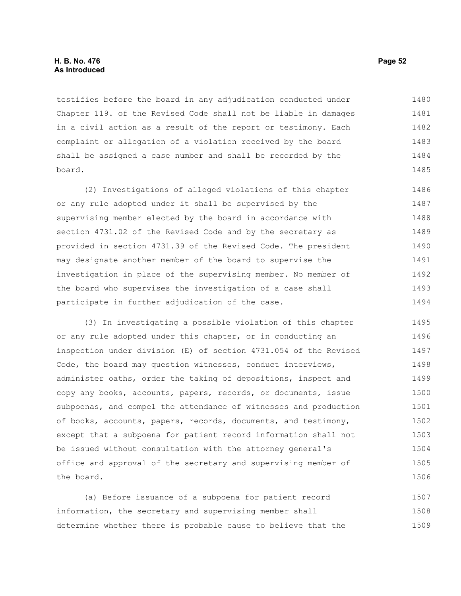testifies before the board in any adjudication conducted under Chapter 119. of the Revised Code shall not be liable in damages in a civil action as a result of the report or testimony. Each complaint or allegation of a violation received by the board shall be assigned a case number and shall be recorded by the board. 1480 1481 1482 1483 1484 1485

(2) Investigations of alleged violations of this chapter or any rule adopted under it shall be supervised by the supervising member elected by the board in accordance with section 4731.02 of the Revised Code and by the secretary as provided in section 4731.39 of the Revised Code. The president may designate another member of the board to supervise the investigation in place of the supervising member. No member of the board who supervises the investigation of a case shall participate in further adjudication of the case. 1486 1487 1488 1489 1490 1491 1492 1493 1494

(3) In investigating a possible violation of this chapter or any rule adopted under this chapter, or in conducting an inspection under division (E) of section 4731.054 of the Revised Code, the board may question witnesses, conduct interviews, administer oaths, order the taking of depositions, inspect and copy any books, accounts, papers, records, or documents, issue subpoenas, and compel the attendance of witnesses and production of books, accounts, papers, records, documents, and testimony, except that a subpoena for patient record information shall not be issued without consultation with the attorney general's office and approval of the secretary and supervising member of the board. 1495 1496 1497 1498 1499 1500 1501 1502 1503 1504 1505 1506

(a) Before issuance of a subpoena for patient record information, the secretary and supervising member shall determine whether there is probable cause to believe that the 1507 1508 1509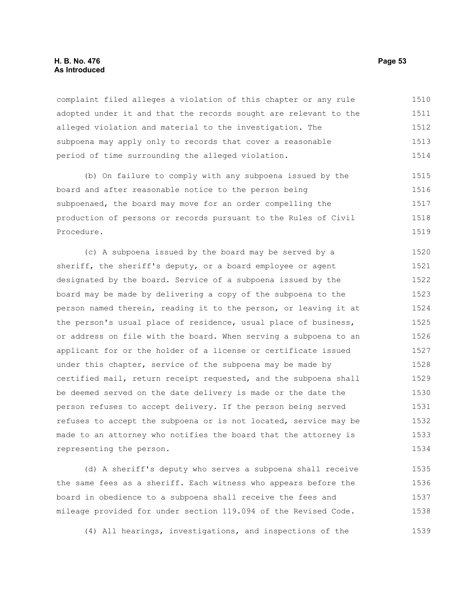#### **H. B. No. 476 Page 53 As Introduced**

complaint filed alleges a violation of this chapter or any rule adopted under it and that the records sought are relevant to the alleged violation and material to the investigation. The subpoena may apply only to records that cover a reasonable period of time surrounding the alleged violation. 1510 1511 1512 1513 1514

(b) On failure to comply with any subpoena issued by the board and after reasonable notice to the person being subpoenaed, the board may move for an order compelling the production of persons or records pursuant to the Rules of Civil Procedure. 1515 1516 1517 1518 1519

(c) A subpoena issued by the board may be served by a sheriff, the sheriff's deputy, or a board employee or agent designated by the board. Service of a subpoena issued by the board may be made by delivering a copy of the subpoena to the person named therein, reading it to the person, or leaving it at the person's usual place of residence, usual place of business, or address on file with the board. When serving a subpoena to an applicant for or the holder of a license or certificate issued under this chapter, service of the subpoena may be made by certified mail, return receipt requested, and the subpoena shall be deemed served on the date delivery is made or the date the person refuses to accept delivery. If the person being served refuses to accept the subpoena or is not located, service may be made to an attorney who notifies the board that the attorney is representing the person. 1520 1521 1522 1523 1524 1525 1526 1527 1528 1529 1530 1531 1532 1533 1534

(d) A sheriff's deputy who serves a subpoena shall receive the same fees as a sheriff. Each witness who appears before the board in obedience to a subpoena shall receive the fees and mileage provided for under section 119.094 of the Revised Code. 1535 1536 1537 1538

(4) All hearings, investigations, and inspections of the 1539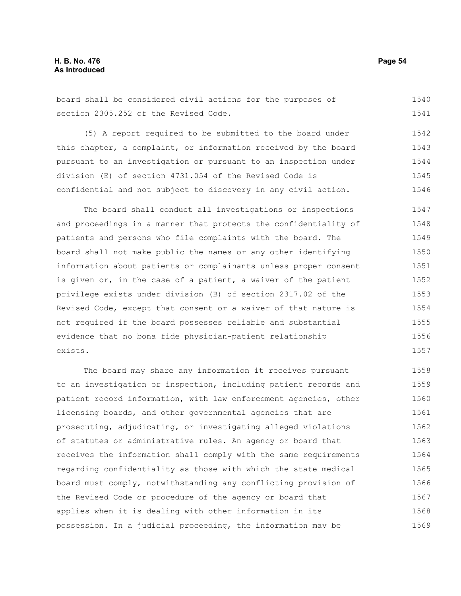board shall be considered civil actions for the purposes of section 2305.252 of the Revised Code. 1540 1541

(5) A report required to be submitted to the board under this chapter, a complaint, or information received by the board pursuant to an investigation or pursuant to an inspection under division (E) of section 4731.054 of the Revised Code is confidential and not subject to discovery in any civil action. 1542 1543 1544 1545 1546

The board shall conduct all investigations or inspections and proceedings in a manner that protects the confidentiality of patients and persons who file complaints with the board. The board shall not make public the names or any other identifying information about patients or complainants unless proper consent is given or, in the case of a patient, a waiver of the patient privilege exists under division (B) of section 2317.02 of the Revised Code, except that consent or a waiver of that nature is not required if the board possesses reliable and substantial evidence that no bona fide physician-patient relationship exists. 1547 1548 1549 1550 1551 1552 1553 1554 1555 1556 1557

The board may share any information it receives pursuant to an investigation or inspection, including patient records and patient record information, with law enforcement agencies, other licensing boards, and other governmental agencies that are prosecuting, adjudicating, or investigating alleged violations of statutes or administrative rules. An agency or board that receives the information shall comply with the same requirements regarding confidentiality as those with which the state medical board must comply, notwithstanding any conflicting provision of the Revised Code or procedure of the agency or board that applies when it is dealing with other information in its possession. In a judicial proceeding, the information may be 1558 1559 1560 1561 1562 1563 1564 1565 1566 1567 1568 1569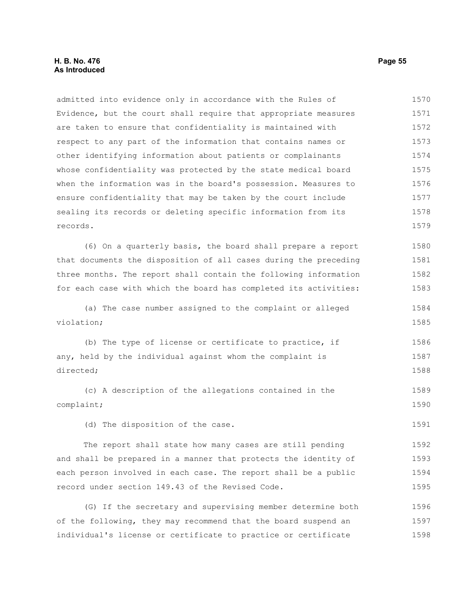#### **H. B. No. 476 Page 55 As Introduced**

admitted into evidence only in accordance with the Rules of Evidence, but the court shall require that appropriate measures are taken to ensure that confidentiality is maintained with respect to any part of the information that contains names or other identifying information about patients or complainants whose confidentiality was protected by the state medical board when the information was in the board's possession. Measures to ensure confidentiality that may be taken by the court include sealing its records or deleting specific information from its records. (6) On a quarterly basis, the board shall prepare a report that documents the disposition of all cases during the preceding three months. The report shall contain the following information for each case with which the board has completed its activities: (a) The case number assigned to the complaint or alleged violation; (b) The type of license or certificate to practice, if any, held by the individual against whom the complaint is directed; (c) A description of the allegations contained in the complaint; (d) The disposition of the case. The report shall state how many cases are still pending 1570 1571 1572 1573 1574 1575 1576 1577 1578 1579 1580 1581 1582 1583 1584 1585 1586 1587 1588 1589 1590 1591 1592

and shall be prepared in a manner that protects the identity of each person involved in each case. The report shall be a public record under section 149.43 of the Revised Code. 1593 1594 1595

(G) If the secretary and supervising member determine both of the following, they may recommend that the board suspend an individual's license or certificate to practice or certificate 1596 1597 1598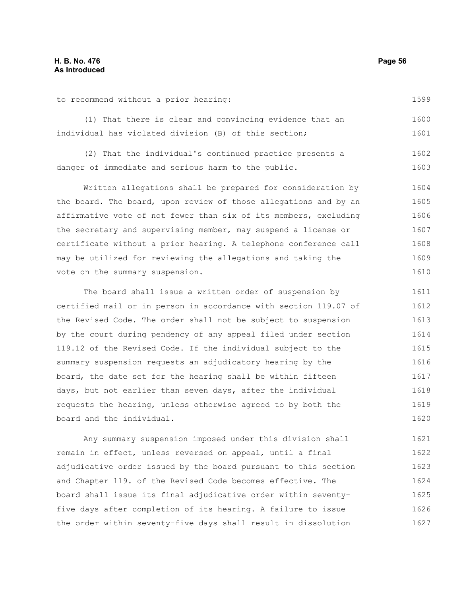to recommend without a prior hearing:

1599

(1) That there is clear and convincing evidence that an individual has violated division (B) of this section; 1600 1601

(2) That the individual's continued practice presents a danger of immediate and serious harm to the public. 1602 1603

Written allegations shall be prepared for consideration by the board. The board, upon review of those allegations and by an affirmative vote of not fewer than six of its members, excluding the secretary and supervising member, may suspend a license or certificate without a prior hearing. A telephone conference call may be utilized for reviewing the allegations and taking the vote on the summary suspension. 1604 1605 1606 1607 1608 1609 1610

The board shall issue a written order of suspension by certified mail or in person in accordance with section 119.07 of the Revised Code. The order shall not be subject to suspension by the court during pendency of any appeal filed under section 119.12 of the Revised Code. If the individual subject to the summary suspension requests an adjudicatory hearing by the board, the date set for the hearing shall be within fifteen days, but not earlier than seven days, after the individual requests the hearing, unless otherwise agreed to by both the board and the individual. 1611 1612 1613 1614 1615 1616 1617 1618 1619 1620

Any summary suspension imposed under this division shall remain in effect, unless reversed on appeal, until a final adjudicative order issued by the board pursuant to this section and Chapter 119. of the Revised Code becomes effective. The board shall issue its final adjudicative order within seventyfive days after completion of its hearing. A failure to issue the order within seventy-five days shall result in dissolution 1621 1622 1623 1624 1625 1626 1627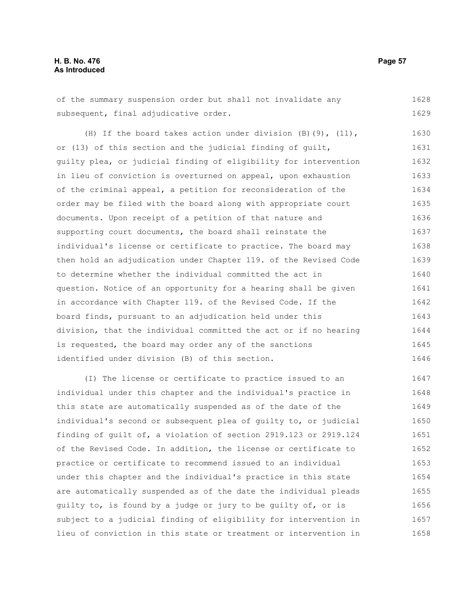of the summary suspension order but shall not invalidate any subsequent, final adjudicative order. 1628 1629

(H) If the board takes action under division  $(B)$  (9), (11), or (13) of this section and the judicial finding of guilt, guilty plea, or judicial finding of eligibility for intervention in lieu of conviction is overturned on appeal, upon exhaustion of the criminal appeal, a petition for reconsideration of the order may be filed with the board along with appropriate court documents. Upon receipt of a petition of that nature and supporting court documents, the board shall reinstate the individual's license or certificate to practice. The board may then hold an adjudication under Chapter 119. of the Revised Code to determine whether the individual committed the act in question. Notice of an opportunity for a hearing shall be given in accordance with Chapter 119. of the Revised Code. If the board finds, pursuant to an adjudication held under this division, that the individual committed the act or if no hearing is requested, the board may order any of the sanctions identified under division (B) of this section. 1630 1631 1632 1633 1634 1635 1636 1637 1638 1639 1640 1641 1642 1643 1644 1645 1646

(I) The license or certificate to practice issued to an individual under this chapter and the individual's practice in this state are automatically suspended as of the date of the individual's second or subsequent plea of guilty to, or judicial finding of guilt of, a violation of section 2919.123 or 2919.124 of the Revised Code. In addition, the license or certificate to practice or certificate to recommend issued to an individual under this chapter and the individual's practice in this state are automatically suspended as of the date the individual pleads guilty to, is found by a judge or jury to be guilty of, or is subject to a judicial finding of eligibility for intervention in lieu of conviction in this state or treatment or intervention in 1647 1648 1649 1650 1651 1652 1653 1654 1655 1656 1657 1658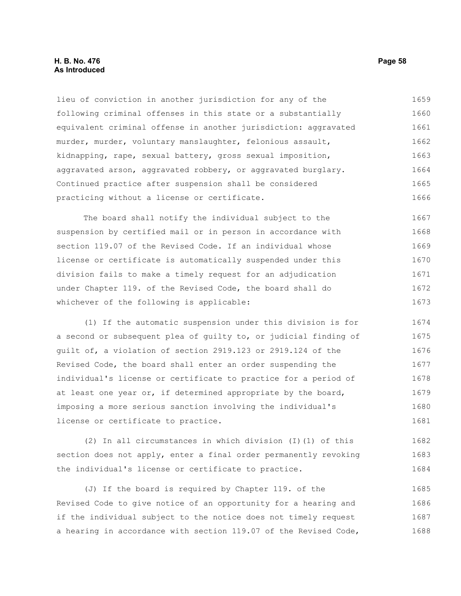#### **H. B. No. 476 Page 58 As Introduced**

lieu of conviction in another jurisdiction for any of the following criminal offenses in this state or a substantially equivalent criminal offense in another jurisdiction: aggravated murder, murder, voluntary manslaughter, felonious assault, kidnapping, rape, sexual battery, gross sexual imposition, aggravated arson, aggravated robbery, or aggravated burglary. Continued practice after suspension shall be considered practicing without a license or certificate. 1659 1660 1661 1662 1663 1664 1665 1666

The board shall notify the individual subject to the suspension by certified mail or in person in accordance with section 119.07 of the Revised Code. If an individual whose license or certificate is automatically suspended under this division fails to make a timely request for an adjudication under Chapter 119. of the Revised Code, the board shall do whichever of the following is applicable: 1667 1668 1669 1670 1671 1672 1673

(1) If the automatic suspension under this division is for a second or subsequent plea of guilty to, or judicial finding of guilt of, a violation of section 2919.123 or 2919.124 of the Revised Code, the board shall enter an order suspending the individual's license or certificate to practice for a period of at least one year or, if determined appropriate by the board, imposing a more serious sanction involving the individual's license or certificate to practice. 1674 1675 1676 1677 1678 1679 1680 1681

(2) In all circumstances in which division (I)(1) of this section does not apply, enter a final order permanently revoking the individual's license or certificate to practice. 1682 1683 1684

(J) If the board is required by Chapter 119. of the Revised Code to give notice of an opportunity for a hearing and if the individual subject to the notice does not timely request a hearing in accordance with section 119.07 of the Revised Code, 1685 1686 1687 1688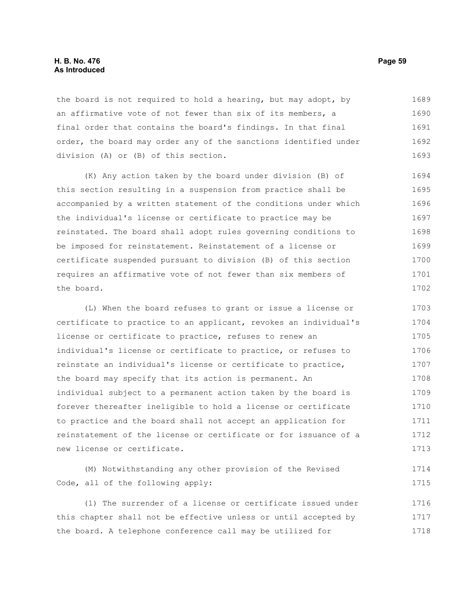#### **H. B. No. 476 Page 59 As Introduced**

the board is not required to hold a hearing, but may adopt, by an affirmative vote of not fewer than six of its members, a final order that contains the board's findings. In that final order, the board may order any of the sanctions identified under division (A) or (B) of this section. 1689 1690 1691 1692 1693

(K) Any action taken by the board under division (B) of this section resulting in a suspension from practice shall be accompanied by a written statement of the conditions under which the individual's license or certificate to practice may be reinstated. The board shall adopt rules governing conditions to be imposed for reinstatement. Reinstatement of a license or certificate suspended pursuant to division (B) of this section requires an affirmative vote of not fewer than six members of the board. 1694 1695 1696 1697 1698 1699 1700 1701 1702

(L) When the board refuses to grant or issue a license or certificate to practice to an applicant, revokes an individual's license or certificate to practice, refuses to renew an individual's license or certificate to practice, or refuses to reinstate an individual's license or certificate to practice, the board may specify that its action is permanent. An individual subject to a permanent action taken by the board is forever thereafter ineligible to hold a license or certificate to practice and the board shall not accept an application for reinstatement of the license or certificate or for issuance of a new license or certificate. 1703 1704 1705 1706 1707 1708 1709 1710 1711 1712 1713

(M) Notwithstanding any other provision of the Revised Code, all of the following apply: 1714 1715

(1) The surrender of a license or certificate issued under this chapter shall not be effective unless or until accepted by the board. A telephone conference call may be utilized for 1716 1717 1718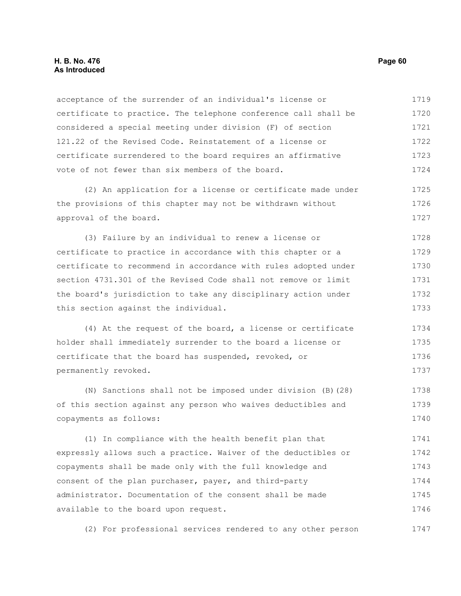#### **H. B. No. 476 Page 60 As Introduced**

acceptance of the surrender of an individual's license or certificate to practice. The telephone conference call shall be considered a special meeting under division (F) of section 121.22 of the Revised Code. Reinstatement of a license or certificate surrendered to the board requires an affirmative vote of not fewer than six members of the board. 1719 1720 1721 1722 1723 1724

(2) An application for a license or certificate made under the provisions of this chapter may not be withdrawn without approval of the board. 1725 1726 1727

(3) Failure by an individual to renew a license or certificate to practice in accordance with this chapter or a certificate to recommend in accordance with rules adopted under section 4731.301 of the Revised Code shall not remove or limit the board's jurisdiction to take any disciplinary action under this section against the individual. 1728 1729 1730 1731 1732 1733

(4) At the request of the board, a license or certificate holder shall immediately surrender to the board a license or certificate that the board has suspended, revoked, or permanently revoked. 1734 1735 1736 1737

(N) Sanctions shall not be imposed under division (B)(28) of this section against any person who waives deductibles and copayments as follows: 1738 1739 1740

(1) In compliance with the health benefit plan that expressly allows such a practice. Waiver of the deductibles or copayments shall be made only with the full knowledge and consent of the plan purchaser, payer, and third-party administrator. Documentation of the consent shall be made available to the board upon request. 1741 1742 1743 1744 1745 1746

(2) For professional services rendered to any other person 1747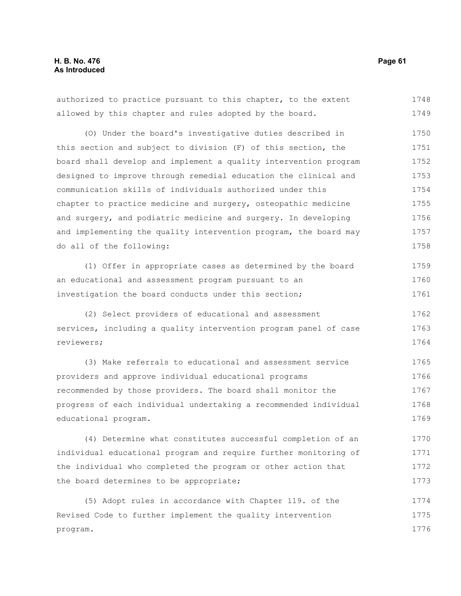authorized to practice pursuant to this chapter, to the extent allowed by this chapter and rules adopted by the board. 1748 1749

(O) Under the board's investigative duties described in this section and subject to division (F) of this section, the board shall develop and implement a quality intervention program designed to improve through remedial education the clinical and communication skills of individuals authorized under this chapter to practice medicine and surgery, osteopathic medicine and surgery, and podiatric medicine and surgery. In developing and implementing the quality intervention program, the board may do all of the following: 1750 1751 1752 1753 1754 1755 1756 1757 1758

(1) Offer in appropriate cases as determined by the board an educational and assessment program pursuant to an investigation the board conducts under this section; 1759 1760 1761

(2) Select providers of educational and assessment services, including a quality intervention program panel of case reviewers; 1762 1763 1764

(3) Make referrals to educational and assessment service providers and approve individual educational programs recommended by those providers. The board shall monitor the progress of each individual undertaking a recommended individual educational program. 1765 1766 1767 1768 1769

(4) Determine what constitutes successful completion of an individual educational program and require further monitoring of the individual who completed the program or other action that the board determines to be appropriate; 1770 1771 1772 1773

(5) Adopt rules in accordance with Chapter 119. of the Revised Code to further implement the quality intervention program. 1774 1775 1776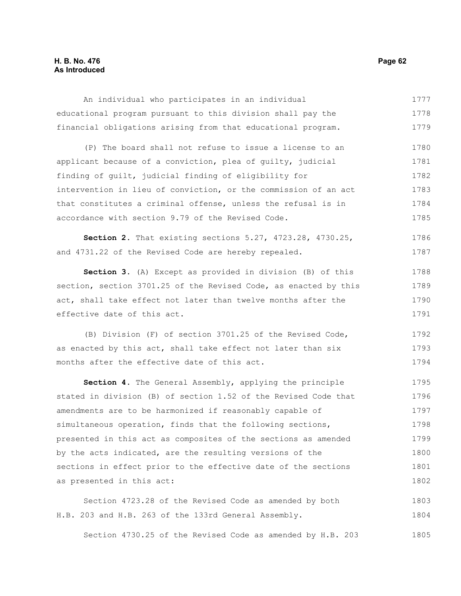#### **H. B. No. 476 Page 62 As Introduced**

An individual who participates in an individual educational program pursuant to this division shall pay the financial obligations arising from that educational program. 1777 1778 1779

(P) The board shall not refuse to issue a license to an applicant because of a conviction, plea of guilty, judicial finding of guilt, judicial finding of eligibility for intervention in lieu of conviction, or the commission of an act that constitutes a criminal offense, unless the refusal is in accordance with section 9.79 of the Revised Code. 1780 1781 1782 1783 1784 1785

**Section 2.** That existing sections 5.27, 4723.28, 4730.25, and 4731.22 of the Revised Code are hereby repealed. 1786 1787

**Section 3.** (A) Except as provided in division (B) of this section, section 3701.25 of the Revised Code, as enacted by this act, shall take effect not later than twelve months after the effective date of this act. 1788 1789 1790 1791

(B) Division (F) of section 3701.25 of the Revised Code, as enacted by this act, shall take effect not later than six months after the effective date of this act. 1792 1793 1794

**Section 4.** The General Assembly, applying the principle stated in division (B) of section 1.52 of the Revised Code that amendments are to be harmonized if reasonably capable of simultaneous operation, finds that the following sections, presented in this act as composites of the sections as amended by the acts indicated, are the resulting versions of the sections in effect prior to the effective date of the sections as presented in this act: 1795 1796 1797 1798 1799 1800 1801 1802

Section 4723.28 of the Revised Code as amended by both H.B. 203 and H.B. 263 of the 133rd General Assembly. 1803 1804

Section 4730.25 of the Revised Code as amended by H.B. 203 1805